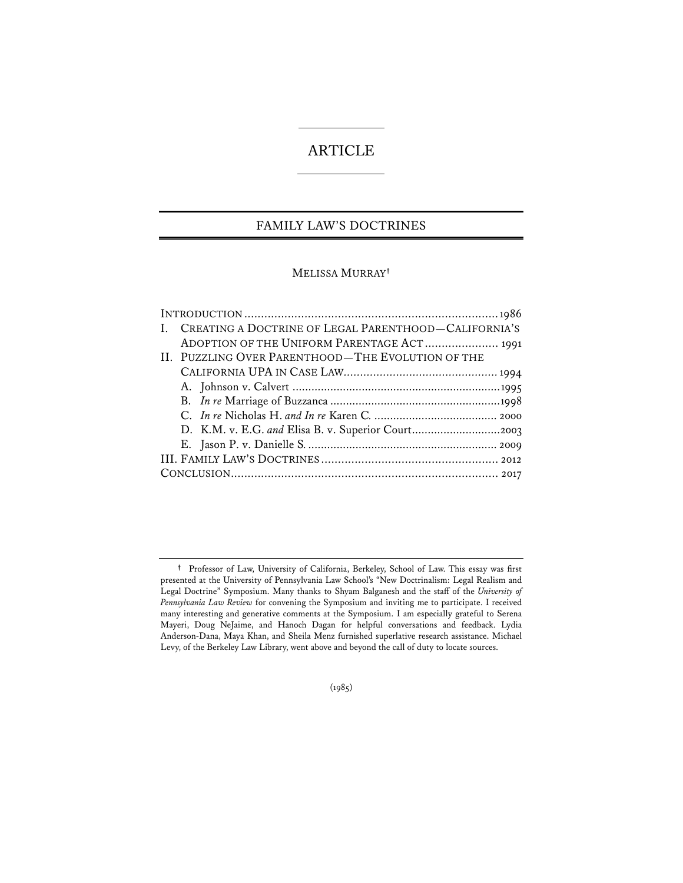# ARTICLE

# FAMILY LAW'S DOCTRINES

# MELISSA MURRAY**†**

| CREATING A DOCTRINE OF LEGAL PARENTHOOD-CALIFORNIA'S |
|------------------------------------------------------|
| ADOPTION OF THE UNIFORM PARENTAGE ACT 1991           |
|                                                      |
|                                                      |
|                                                      |
|                                                      |
|                                                      |
|                                                      |
|                                                      |
|                                                      |
|                                                      |
|                                                      |

(1985)

**<sup>†</sup>** Professor of Law, University of California, Berkeley, School of Law. This essay was first presented at the University of Pennsylvania Law School's "New Doctrinalism: Legal Realism and Legal Doctrine" Symposium. Many thanks to Shyam Balganesh and the staff of the *University of Pennsylvania Law Review* for convening the Symposium and inviting me to participate. I received many interesting and generative comments at the Symposium. I am especially grateful to Serena Mayeri, Doug NeJaime, and Hanoch Dagan for helpful conversations and feedback. Lydia Anderson-Dana, Maya Khan, and Sheila Menz furnished superlative research assistance. Michael Levy, of the Berkeley Law Library, went above and beyond the call of duty to locate sources.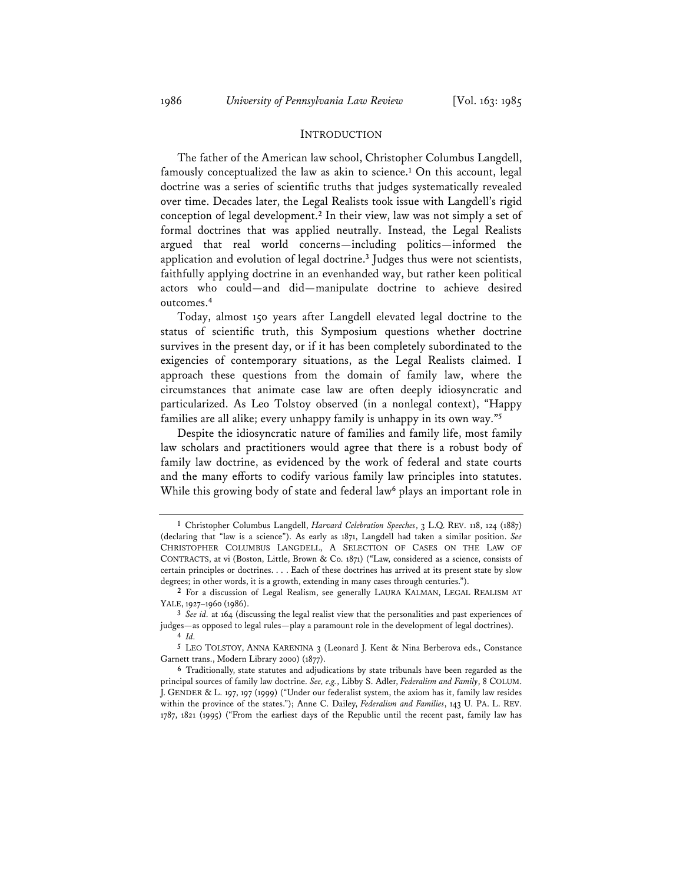#### INTRODUCTION

The father of the American law school, Christopher Columbus Langdell, famously conceptualized the law as akin to science.**<sup>1</sup>** On this account, legal doctrine was a series of scientific truths that judges systematically revealed over time. Decades later, the Legal Realists took issue with Langdell's rigid conception of legal development.**<sup>2</sup>** In their view, law was not simply a set of formal doctrines that was applied neutrally. Instead, the Legal Realists argued that real world concerns—including politics—informed the application and evolution of legal doctrine.**<sup>3</sup>** Judges thus were not scientists, faithfully applying doctrine in an evenhanded way, but rather keen political actors who could—and did—manipulate doctrine to achieve desired outcomes.**<sup>4</sup>**

Today, almost 150 years after Langdell elevated legal doctrine to the status of scientific truth, this Symposium questions whether doctrine survives in the present day, or if it has been completely subordinated to the exigencies of contemporary situations, as the Legal Realists claimed. I approach these questions from the domain of family law, where the circumstances that animate case law are often deeply idiosyncratic and particularized. As Leo Tolstoy observed (in a nonlegal context), "Happy families are all alike; every unhappy family is unhappy in its own way."**<sup>5</sup>**

Despite the idiosyncratic nature of families and family life, most family law scholars and practitioners would agree that there is a robust body of family law doctrine, as evidenced by the work of federal and state courts and the many efforts to codify various family law principles into statutes. While this growing body of state and federal law**<sup>6</sup>** plays an important role in

**<sup>1</sup>** Christopher Columbus Langdell, *Harvard Celebration Speeches*, 3 L.Q. REV. 118, 124 (1887) (declaring that "law is a science"). As early as 1871, Langdell had taken a similar position. *See* CHRISTOPHER COLUMBUS LANGDELL, A SELECTION OF CASES ON THE LAW OF CONTRACTS, at vi (Boston, Little, Brown & Co. 1871) ("Law, considered as a science, consists of certain principles or doctrines. . . . Each of these doctrines has arrived at its present state by slow degrees; in other words, it is a growth, extending in many cases through centuries.").

**<sup>2</sup>** For a discussion of Legal Realism, see generally LAURA KALMAN, LEGAL REALISM AT YALE, 1927–1960 (1986).

**<sup>3</sup>** *See id.* at 164 (discussing the legal realist view that the personalities and past experiences of judges—as opposed to legal rules—play a paramount role in the development of legal doctrines). **<sup>4</sup>** *Id.*

**<sup>5</sup>** LEO TOLSTOY, ANNA KARENINA 3 (Leonard J. Kent & Nina Berberova eds., Constance Garnett trans., Modern Library 2000) (1877).

**<sup>6</sup>** Traditionally, state statutes and adjudications by state tribunals have been regarded as the principal sources of family law doctrine. *See, e.g.*, Libby S. Adler, *Federalism and Family*, 8 COLUM. J. GENDER & L. 197, 197 (1999) ("Under our federalist system, the axiom has it, family law resides within the province of the states."); Anne C. Dailey, *Federalism and Families*, 143 U. PA. L. REV. 1787, 1821 (1995) ("From the earliest days of the Republic until the recent past, family law has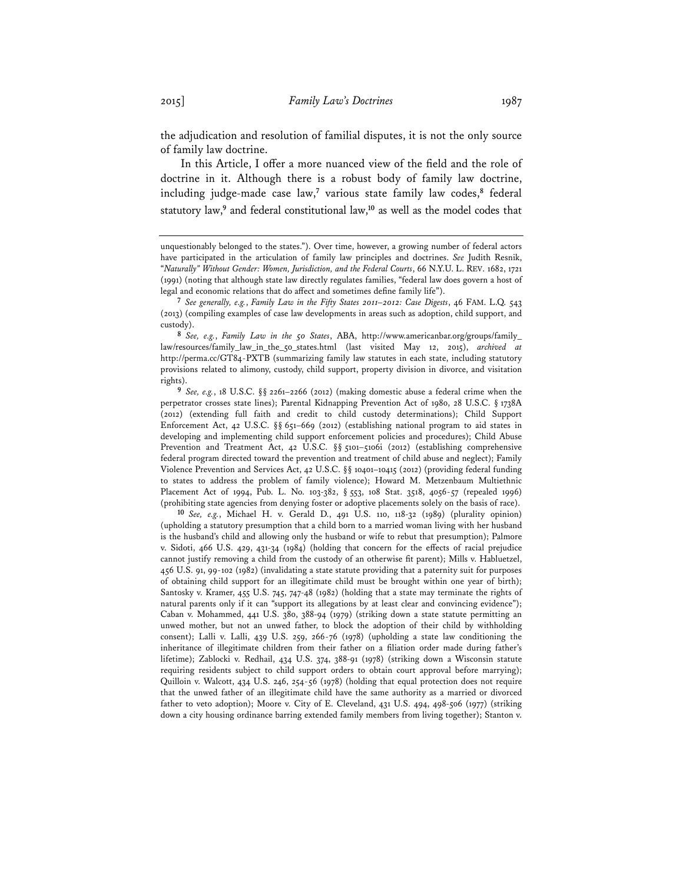the adjudication and resolution of familial disputes, it is not the only source of family law doctrine.

In this Article, I offer a more nuanced view of the field and the role of doctrine in it. Although there is a robust body of family law doctrine, including judge-made case law,<sup>7</sup> various state family law codes,<sup>8</sup> federal statutory law,**<sup>9</sup>** and federal constitutional law,**<sup>10</sup>** as well as the model codes that

**<sup>8</sup>** *See, e.g.*, *Family Law in the 50 States*, ABA, http://www.americanbar.org/groups/family\_ law/resources/family\_law\_in\_the\_50\_states.html (last visited May 12, 2015), *archived at* http://perma.cc/GT84-PXTB (summarizing family law statutes in each state, including statutory provisions related to alimony, custody, child support, property division in divorce, and visitation rights).

**<sup>9</sup>** *See, e.g.*, 18 U.S.C. §§ 2261–2266 (2012) (making domestic abuse a federal crime when the perpetrator crosses state lines); Parental Kidnapping Prevention Act of 1980, 28 U.S.C. § 1738A (2012) (extending full faith and credit to child custody determinations); Child Support Enforcement Act, 42 U.S.C. §§ 651–669 (2012) (establishing national program to aid states in developing and implementing child support enforcement policies and procedures); Child Abuse Prevention and Treatment Act, 42 U.S.C. §§ 5101-5106i (2012) (establishing comprehensive federal program directed toward the prevention and treatment of child abuse and neglect); Family Violence Prevention and Services Act, 42 U.S.C. §§ 10401–10415 (2012) (providing federal funding to states to address the problem of family violence); Howard M. Metzenbaum Multiethnic Placement Act of 1994, Pub. L. No. 103-382, § 553, 108 Stat. 3518, 4056-57 (repealed 1996) (prohibiting state agencies from denying foster or adoptive placements solely on the basis of race).

**<sup>10</sup>** *See, e.g.*, Michael H. v. Gerald D., 491 U.S. 110, 118-32 (1989) (plurality opinion) (upholding a statutory presumption that a child born to a married woman living with her husband is the husband's child and allowing only the husband or wife to rebut that presumption); Palmore v. Sidoti, 466 U.S. 429, 431-34 (1984) (holding that concern for the effects of racial prejudice cannot justify removing a child from the custody of an otherwise fit parent); Mills v. Habluetzel, 456 U.S. 91, 99-102 (1982) (invalidating a state statute providing that a paternity suit for purposes of obtaining child support for an illegitimate child must be brought within one year of birth); Santosky v. Kramer, 455 U.S. 745, 747-48 (1982) (holding that a state may terminate the rights of natural parents only if it can "support its allegations by at least clear and convincing evidence"); Caban v. Mohammed, 441 U.S. 380, 388-94 (1979) (striking down a state statute permitting an unwed mother, but not an unwed father, to block the adoption of their child by withholding consent); Lalli v. Lalli, 439 U.S. 259, 266-76 (1978) (upholding a state law conditioning the inheritance of illegitimate children from their father on a filiation order made during father's lifetime); Zablocki v. Redhail, 434 U.S. 374, 388-91 (1978) (striking down a Wisconsin statute requiring residents subject to child support orders to obtain court approval before marrying); Quilloin v. Walcott, 434 U.S. 246, 254-56 (1978) (holding that equal protection does not require that the unwed father of an illegitimate child have the same authority as a married or divorced father to veto adoption); Moore v. City of E. Cleveland, 431 U.S. 494, 498-506 (1977) (striking down a city housing ordinance barring extended family members from living together); Stanton v.

unquestionably belonged to the states."). Over time, however, a growing number of federal actors have participated in the articulation of family law principles and doctrines. *See* Judith Resnik, "*Naturally" Without Gender: Women, Jurisdiction, and the Federal Courts*, 66 N.Y.U. L. REV. 1682, 1721 (1991) (noting that although state law directly regulates families, "federal law does govern a host of legal and economic relations that do affect and sometimes define family life").

**<sup>7</sup>** *See generally, e.g.*, *Family Law in the Fifty States 2011–2012: Case Digests*, 46 FAM. L.Q. 543 (2013) (compiling examples of case law developments in areas such as adoption, child support, and custody).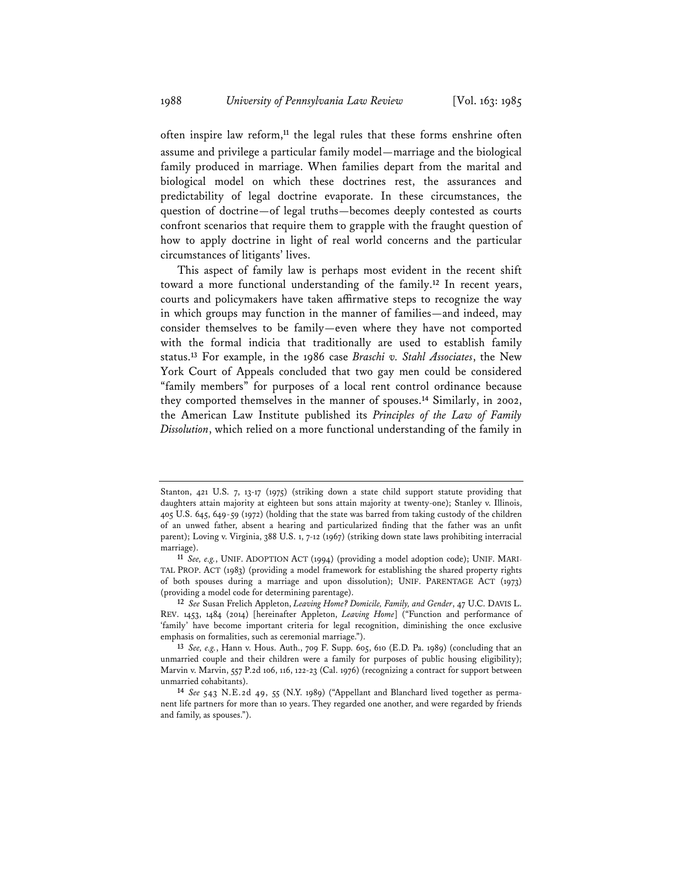often inspire law reform,**<sup>11</sup>** the legal rules that these forms enshrine often assume and privilege a particular family model—marriage and the biological family produced in marriage. When families depart from the marital and biological model on which these doctrines rest, the assurances and predictability of legal doctrine evaporate. In these circumstances, the question of doctrine—of legal truths—becomes deeply contested as courts confront scenarios that require them to grapple with the fraught question of how to apply doctrine in light of real world concerns and the particular circumstances of litigants' lives.

This aspect of family law is perhaps most evident in the recent shift toward a more functional understanding of the family.**<sup>12</sup>** In recent years, courts and policymakers have taken affirmative steps to recognize the way in which groups may function in the manner of families—and indeed, may consider themselves to be family—even where they have not comported with the formal indicia that traditionally are used to establish family status.**<sup>13</sup>** For example, in the 1986 case *Braschi v. Stahl Associates*, the New York Court of Appeals concluded that two gay men could be considered "family members" for purposes of a local rent control ordinance because they comported themselves in the manner of spouses.**<sup>14</sup>** Similarly, in 2002, the American Law Institute published its *Principles of the Law of Family Dissolution*, which relied on a more functional understanding of the family in

Stanton, 421 U.S. 7, 13-17 (1975) (striking down a state child support statute providing that daughters attain majority at eighteen but sons attain majority at twenty-one); Stanley v. Illinois, 405 U.S. 645, 649-59 (1972) (holding that the state was barred from taking custody of the children of an unwed father, absent a hearing and particularized finding that the father was an unfit parent); Loving v. Virginia, 388 U.S. 1, 7-12 (1967) (striking down state laws prohibiting interracial

marriage). **<sup>11</sup>** *See, e.g.*, UNIF. ADOPTION ACT (1994) (providing a model adoption code); UNIF. MARI-TAL PROP. ACT (1983) (providing a model framework for establishing the shared property rights of both spouses during a marriage and upon dissolution); UNIF. PARENTAGE ACT (1973) (providing a model code for determining parentage).

**<sup>12</sup>** *See* Susan Frelich Appleton, *Leaving Home? Domicile, Family, and Gender*, 47 U.C. DAVIS L. REV. 1453, 1484 (2014) [hereinafter Appleton, *Leaving Home*] ("Function and performance of 'family' have become important criteria for legal recognition, diminishing the once exclusive emphasis on formalities, such as ceremonial marriage.").

**<sup>13</sup>** *See, e.g.*, Hann v. Hous. Auth., 709 F. Supp. 605, 610 (E.D. Pa. 1989) (concluding that an unmarried couple and their children were a family for purposes of public housing eligibility); Marvin v. Marvin, 557 P.2d 106, 116, 122-23 (Cal. 1976) (recognizing a contract for support between

<sup>&</sup>lt;sup>14</sup> See 543 N.E.2d 49, 55 (N.Y. 1989) ("Appellant and Blanchard lived together as permanent life partners for more than 10 years. They regarded one another, and were regarded by friends and family, as spouses.").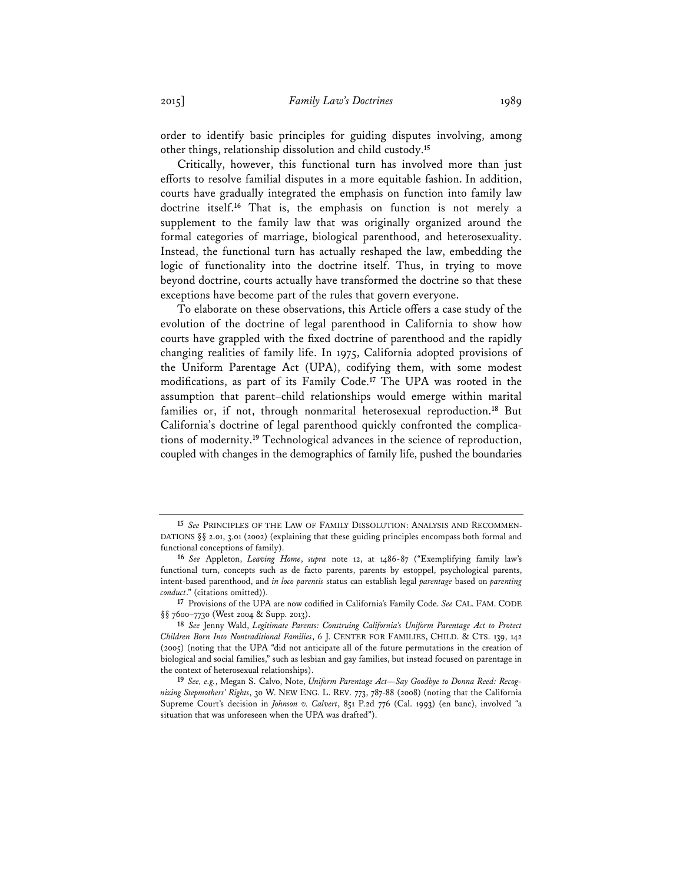order to identify basic principles for guiding disputes involving, among other things, relationship dissolution and child custody.**<sup>15</sup>**

Critically, however, this functional turn has involved more than just efforts to resolve familial disputes in a more equitable fashion. In addition, courts have gradually integrated the emphasis on function into family law doctrine itself.**<sup>16</sup>** That is, the emphasis on function is not merely a supplement to the family law that was originally organized around the formal categories of marriage, biological parenthood, and heterosexuality. Instead, the functional turn has actually reshaped the law, embedding the logic of functionality into the doctrine itself. Thus, in trying to move beyond doctrine, courts actually have transformed the doctrine so that these exceptions have become part of the rules that govern everyone.

To elaborate on these observations, this Article offers a case study of the evolution of the doctrine of legal parenthood in California to show how courts have grappled with the fixed doctrine of parenthood and the rapidly changing realities of family life. In 1975, California adopted provisions of the Uniform Parentage Act (UPA), codifying them, with some modest modifications, as part of its Family Code.**<sup>17</sup>** The UPA was rooted in the assumption that parent–child relationships would emerge within marital families or, if not, through nonmarital heterosexual reproduction.**<sup>18</sup>** But California's doctrine of legal parenthood quickly confronted the complications of modernity.**<sup>19</sup>** Technological advances in the science of reproduction, coupled with changes in the demographics of family life, pushed the boundaries

**<sup>15</sup>** *See* PRINCIPLES OF THE LAW OF FAMILY DISSOLUTION: ANALYSIS AND RECOMMEN-DATIONS  $\S$  2.01, 3.01 (2002) (explaining that these guiding principles encompass both formal and functional conceptions of family).

**<sup>16</sup>** *See* Appleton, *Leaving Home*, *supra* note 12, at 1486-87 ("Exemplifying family law's functional turn, concepts such as de facto parents, parents by estoppel, psychological parents, intent-based parenthood, and *in loco parentis* status can establish legal *parentage* based on *parenting conduct*." (citations omitted)).

**<sup>17</sup>** Provisions of the UPA are now codified in California's Family Code. *See* CAL. FAM. CODE §§ 7600-7730 (West 2004 & Supp. 2013).

**<sup>18</sup>** *See* Jenny Wald, *Legitimate Parents: Construing California's Uniform Parentage Act to Protect Children Born Into Nontraditional Families*, 6 J. CENTER FOR FAMILIES, CHILD. & CTS. 139, 142 (2005) (noting that the UPA "did not anticipate all of the future permutations in the creation of biological and social families," such as lesbian and gay families, but instead focused on parentage in the context of heterosexual relationships).

**<sup>19</sup>***See, e.g.*, Megan S. Calvo, Note, *Uniform Parentage Act—Say Goodbye to Donna Reed: Recognizing Stepmothers' Rights*, 30 W. NEW ENG. L. REV. 773, 787-88 (2008) (noting that the California Supreme Court's decision in *Johnson v. Calvert*, 851 P.2d 776 (Cal. 1993) (en banc), involved "a situation that was unforeseen when the UPA was drafted").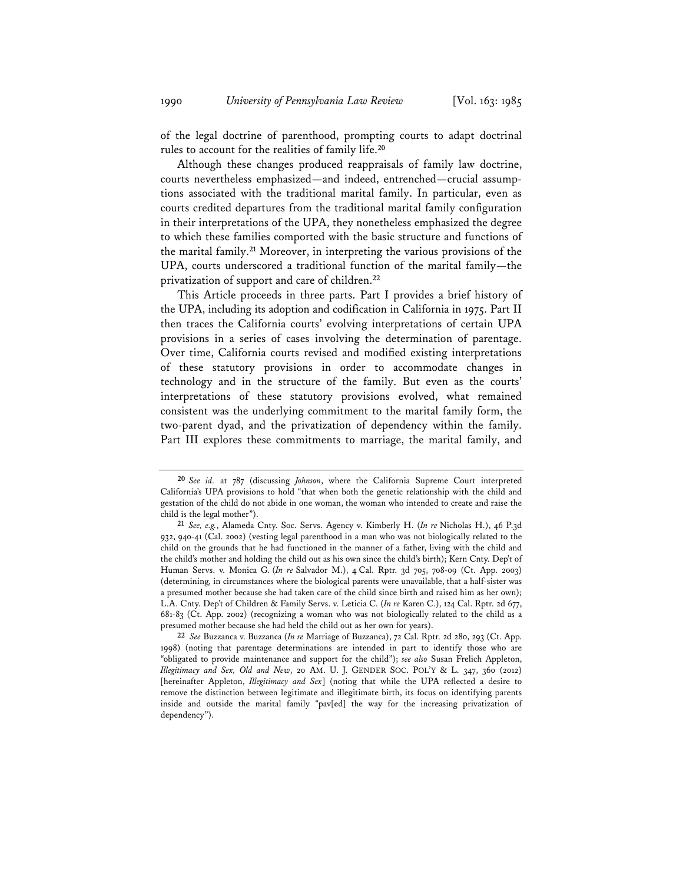of the legal doctrine of parenthood, prompting courts to adapt doctrinal rules to account for the realities of family life.**<sup>20</sup>**

Although these changes produced reappraisals of family law doctrine, courts nevertheless emphasized—and indeed, entrenched—crucial assumptions associated with the traditional marital family. In particular, even as courts credited departures from the traditional marital family configuration in their interpretations of the UPA, they nonetheless emphasized the degree to which these families comported with the basic structure and functions of the marital family.**<sup>21</sup>** Moreover, in interpreting the various provisions of the UPA, courts underscored a traditional function of the marital family—the privatization of support and care of children.**<sup>22</sup>**

This Article proceeds in three parts. Part I provides a brief history of the UPA, including its adoption and codification in California in 1975. Part II then traces the California courts' evolving interpretations of certain UPA provisions in a series of cases involving the determination of parentage. Over time, California courts revised and modified existing interpretations of these statutory provisions in order to accommodate changes in technology and in the structure of the family. But even as the courts' interpretations of these statutory provisions evolved, what remained consistent was the underlying commitment to the marital family form, the two-parent dyad, and the privatization of dependency within the family. Part III explores these commitments to marriage, the marital family, and

**<sup>20</sup>***See id.* at 787 (discussing *Johnson*, where the California Supreme Court interpreted California's UPA provisions to hold "that when both the genetic relationship with the child and gestation of the child do not abide in one woman, the woman who intended to create and raise the child is the legal mother").

**<sup>21</sup>** *See, e.g.*, Alameda Cnty. Soc. Servs. Agency v. Kimberly H. (*In re* Nicholas H.), 46 P.3d 932, 940-41 (Cal. 2002) (vesting legal parenthood in a man who was not biologically related to the child on the grounds that he had functioned in the manner of a father, living with the child and the child's mother and holding the child out as his own since the child's birth); Kern Cnty. Dep't of Human Servs. v. Monica G. (*In re* Salvador M.), 4 Cal. Rptr. 3d 705, 708-09 (Ct. App. 2003) (determining, in circumstances where the biological parents were unavailable, that a half-sister was a presumed mother because she had taken care of the child since birth and raised him as her own); L.A. Cnty. Dep't of Children & Family Servs. v. Leticia C. (*In re* Karen C.), 124 Cal. Rptr. 2d 677, 681-83 (Ct. App. 2002) (recognizing a woman who was not biologically related to the child as a presumed mother because she had held the child out as her own for years).

**<sup>22</sup>** *See* Buzzanca v. Buzzanca (*In re* Marriage of Buzzanca), 72 Cal. Rptr. 2d 280, 293 (Ct. App. 1998) (noting that parentage determinations are intended in part to identify those who are "obligated to provide maintenance and support for the child"); *see also* Susan Frelich Appleton, *Illegitimacy and Sex, Old and New*, 20 AM. U. J. GENDER SOC. POL'Y & L. 347, 360 (2012) [hereinafter Appleton, *Illegitimacy and Sex*] (noting that while the UPA reflected a desire to remove the distinction between legitimate and illegitimate birth, its focus on identifying parents inside and outside the marital family "pav[ed] the way for the increasing privatization of dependency").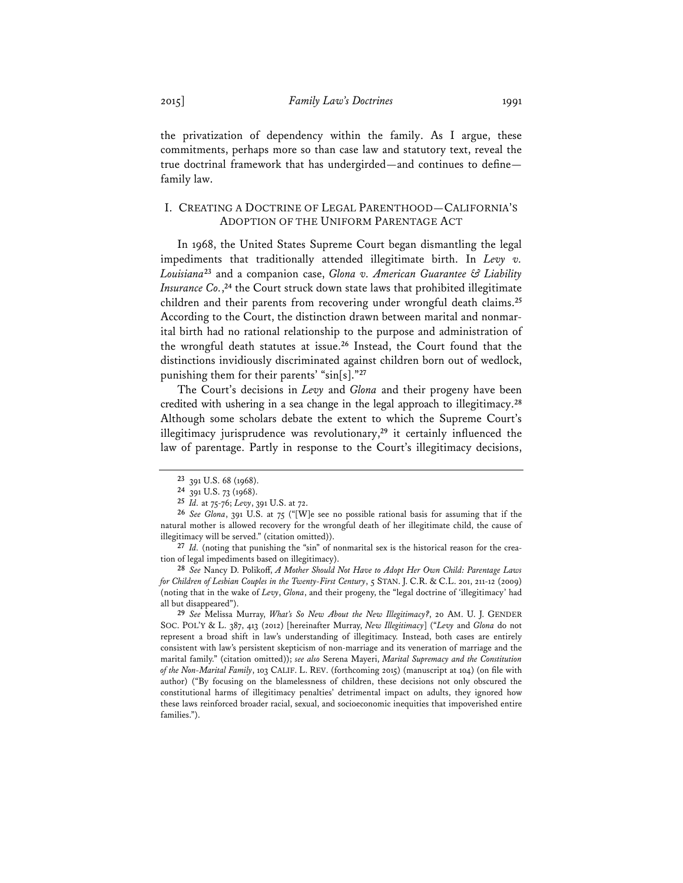the privatization of dependency within the family. As I argue, these commitments, perhaps more so than case law and statutory text, reveal the true doctrinal framework that has undergirded—and continues to define family law.

# I. CREATING A DOCTRINE OF LEGAL PARENTHOOD—CALIFORNIA'S ADOPTION OF THE UNIFORM PARENTAGE ACT

In 1968, the United States Supreme Court began dismantling the legal impediments that traditionally attended illegitimate birth. In *Levy v. Louisiana***<sup>23</sup>** and a companion case, *Glona v. American Guarantee & Liability Insurance Co.*, **<sup>24</sup>** the Court struck down state laws that prohibited illegitimate children and their parents from recovering under wrongful death claims.**<sup>25</sup>** According to the Court, the distinction drawn between marital and nonmarital birth had no rational relationship to the purpose and administration of the wrongful death statutes at issue.**<sup>26</sup>** Instead, the Court found that the distinctions invidiously discriminated against children born out of wedlock, punishing them for their parents' "sin[s]."**<sup>27</sup>**

The Court's decisions in *Levy* and *Glona* and their progeny have been credited with ushering in a sea change in the legal approach to illegitimacy.**<sup>28</sup>** Although some scholars debate the extent to which the Supreme Court's illegitimacy jurisprudence was revolutionary,**<sup>29</sup>** it certainly influenced the law of parentage. Partly in response to the Court's illegitimacy decisions,

**<sup>29</sup>** *See* Melissa Murray, *What's So New About the New Illegitimacy?*, 20 AM. U. J. GENDER SOC. POL'Y & L. 387, 413 (2012) [hereinafter Murray, *New Illegitimacy*] ("*Levy* and *Glona* do not represent a broad shift in law's understanding of illegitimacy. Instead, both cases are entirely consistent with law's persistent skepticism of non-marriage and its veneration of marriage and the marital family." (citation omitted)); *see also* Serena Mayeri, *Marital Supremacy and the Constitution of the Non-Marital Family*, 103 CALIF. L. REV. (forthcoming 2015) (manuscript at 104) (on file with author) ("By focusing on the blamelessness of children, these decisions not only obscured the constitutional harms of illegitimacy penalties' detrimental impact on adults, they ignored how these laws reinforced broader racial, sexual, and socioeconomic inequities that impoverished entire families.").

**<sup>23</sup>** 391 U.S. 68 (1968).

**<sup>24</sup>** 391 U.S. 73 (1968).

**<sup>25</sup>** *Id.* at 75-76; *Levy*, 391 U.S. at 72.

**<sup>26</sup>** *See Glona*, 391 U.S. at 75 ("[W]e see no possible rational basis for assuming that if the natural mother is allowed recovery for the wrongful death of her illegitimate child, the cause of illegitimacy will be served." (citation omitted)).

**<sup>27</sup>** *Id.* (noting that punishing the "sin" of nonmarital sex is the historical reason for the creation of legal impediments based on illegitimacy).

**<sup>28</sup>** *See* Nancy D. Polikoff, *A Mother Should Not Have to Adopt Her Own Child: Parentage Laws for Children of Lesbian Couples in the Twenty-First Century*, 5 STAN. J. C.R. & C.L. 201, 211-12 (2009) (noting that in the wake of *Levy*, *Glona*, and their progeny, the "legal doctrine of 'illegitimacy' had all but disappeared").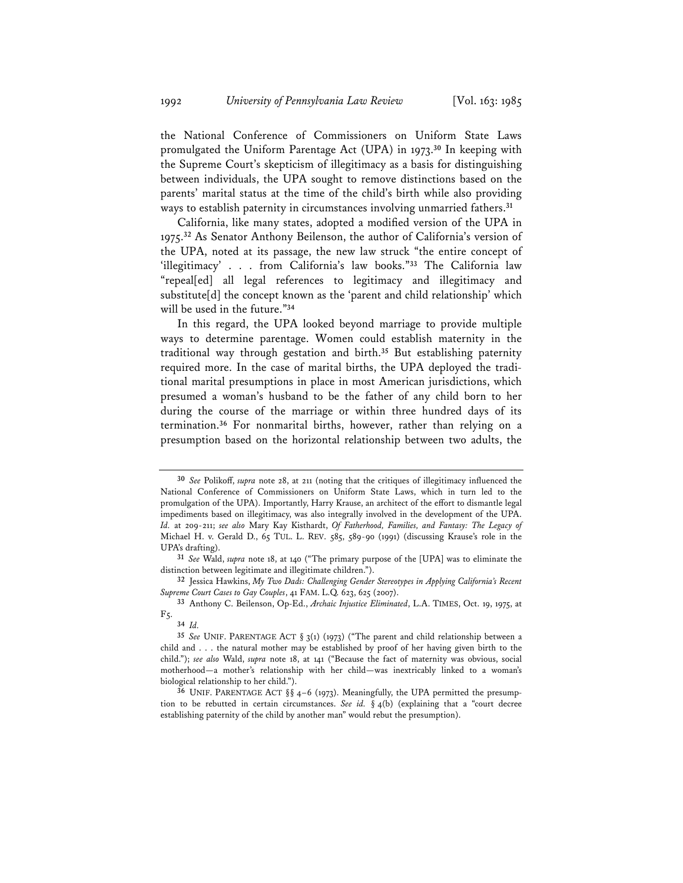the National Conference of Commissioners on Uniform State Laws promulgated the Uniform Parentage Act (UPA) in 1973.**<sup>30</sup>** In keeping with the Supreme Court's skepticism of illegitimacy as a basis for distinguishing between individuals, the UPA sought to remove distinctions based on the parents' marital status at the time of the child's birth while also providing ways to establish paternity in circumstances involving unmarried fathers.**<sup>31</sup>**

California, like many states, adopted a modified version of the UPA in 1975.**<sup>32</sup>** As Senator Anthony Beilenson, the author of California's version of the UPA, noted at its passage, the new law struck "the entire concept of 'illegitimacy' . . . from California's law books."**<sup>33</sup>** The California law "repeal[ed] all legal references to legitimacy and illegitimacy and substitute[d] the concept known as the 'parent and child relationship' which will be used in the future."**<sup>34</sup>**

In this regard, the UPA looked beyond marriage to provide multiple ways to determine parentage. Women could establish maternity in the traditional way through gestation and birth.**<sup>35</sup>** But establishing paternity required more. In the case of marital births, the UPA deployed the traditional marital presumptions in place in most American jurisdictions, which presumed a woman's husband to be the father of any child born to her during the course of the marriage or within three hundred days of its termination.**<sup>36</sup>** For nonmarital births, however, rather than relying on a presumption based on the horizontal relationship between two adults, the

**<sup>30</sup>** *See* Polikoff, *supra* note 28, at 211 (noting that the critiques of illegitimacy influenced the National Conference of Commissioners on Uniform State Laws, which in turn led to the promulgation of the UPA). Importantly, Harry Krause, an architect of the effort to dismantle legal impediments based on illegitimacy, was also integrally involved in the development of the UPA. *Id.* at 209-211; *see also* Mary Kay Kisthardt, *Of Fatherhood, Families, and Fantasy: The Legacy of*  Michael H. v. Gerald D., 65 TUL. L. REV. 585, 589-90 (1991) (discussing Krause's role in the UPA's drafting).

**<sup>31</sup>** *See* Wald, *supra* note 18, at 140 ("The primary purpose of the [UPA] was to eliminate the distinction between legitimate and illegitimate children.").

**<sup>32</sup>** Jessica Hawkins, *My Two Dads: Challenging Gender Stereotypes in Applying California's Recent Supreme Court Cases to Gay Couples*, 41 FAM. L.Q. 623, 625 (2007).

**<sup>33</sup>** Anthony C. Beilenson, Op-Ed., *Archaic Injustice Eliminated*, L.A. TIMES, Oct. 19, 1975, at F5.

**<sup>34</sup>** *Id.* 

**<sup>35</sup>** *See* UNIF. PARENTAGE ACT § 3(1) (1973) ("The parent and child relationship between a child and . . . the natural mother may be established by proof of her having given birth to the child."); *see also* Wald, *supra* note 18, at 141 ("Because the fact of maternity was obvious, social motherhood—a mother's relationship with her child—was inextricably linked to a woman's biological relationship to her child.").

**<sup>36</sup>** UNIF. PARENTAGE ACT §§ 4–6 (1973). Meaningfully, the UPA permitted the presumption to be rebutted in certain circumstances. *See id.* § 4(b) (explaining that a "court decree establishing paternity of the child by another man" would rebut the presumption).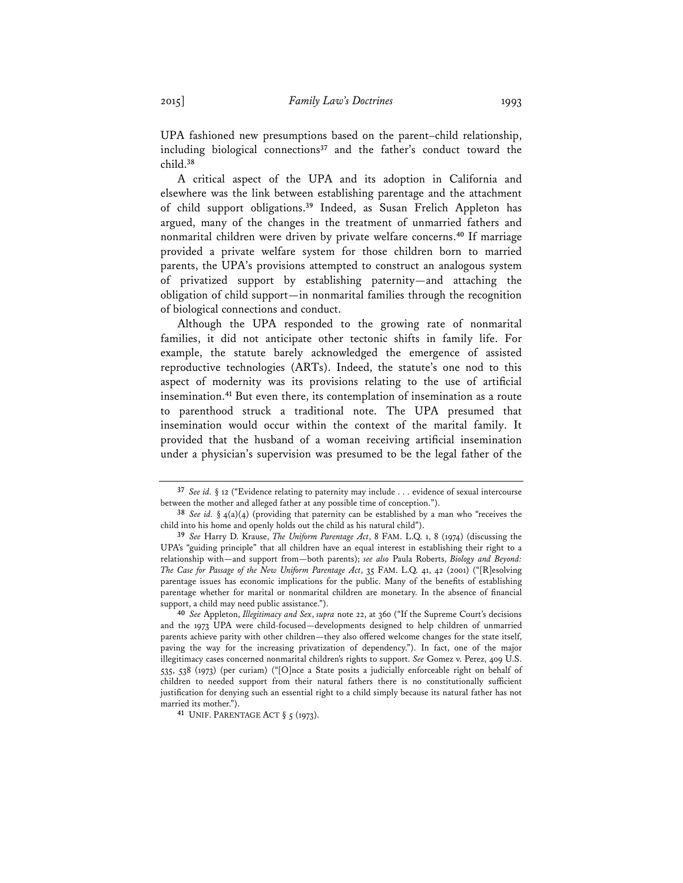UPA fashioned new presumptions based on the parent–child relationship, including biological connections**<sup>37</sup>** and the father's conduct toward the child.**<sup>38</sup>**

A critical aspect of the UPA and its adoption in California and elsewhere was the link between establishing parentage and the attachment of child support obligations.**<sup>39</sup>** Indeed, as Susan Frelich Appleton has argued, many of the changes in the treatment of unmarried fathers and nonmarital children were driven by private welfare concerns.**<sup>40</sup>** If marriage provided a private welfare system for those children born to married parents, the UPA's provisions attempted to construct an analogous system of privatized support by establishing paternity—and attaching the obligation of child support—in nonmarital families through the recognition of biological connections and conduct.

Although the UPA responded to the growing rate of nonmarital families, it did not anticipate other tectonic shifts in family life. For example, the statute barely acknowledged the emergence of assisted reproductive technologies (ARTs). Indeed, the statute's one nod to this aspect of modernity was its provisions relating to the use of artificial insemination.**<sup>41</sup>** But even there, its contemplation of insemination as a route to parenthood struck a traditional note. The UPA presumed that insemination would occur within the context of the marital family. It provided that the husband of a woman receiving artificial insemination under a physician's supervision was presumed to be the legal father of the

**<sup>37</sup>** *See id.* § 12 ("Evidence relating to paternity may include . . . evidence of sexual intercourse between the mother and alleged father at any possible time of conception.").

**<sup>38</sup>** *See id.* § 4(a)(4) (providing that paternity can be established by a man who "receives the child into his home and openly holds out the child as his natural child").

**<sup>39</sup>** *See* Harry D. Krause, *The Uniform Parentage Act*, 8 FAM. L.Q. 1, 8 (1974) (discussing the UPA's "guiding principle" that all children have an equal interest in establishing their right to a relationship with—and support from—both parents); *see also* Paula Roberts, *Biology and Beyond: The Case for Passage of the New Uniform Parentage Act*, 35 FAM. L.Q. 41, 42 (2001) ("[R]esolving parentage issues has economic implications for the public. Many of the benefits of establishing parentage whether for marital or nonmarital children are monetary. In the absence of financial support, a child may need public assistance.").

**<sup>40</sup>** *See* Appleton, *Illegitimacy and Sex*, *supra* note 22, at 360 ("If the Supreme Court's decisions and the 1973 UPA were child-focused—developments designed to help children of unmarried parents achieve parity with other children—they also offered welcome changes for the state itself, paving the way for the increasing privatization of dependency."). In fact, one of the major illegitimacy cases concerned nonmarital children's rights to support. *See* Gomez v. Perez, 409 U.S. 535, 538 (1973) (per curiam) ("[O]nce a State posits a judicially enforceable right on behalf of children to needed support from their natural fathers there is no constitutionally sufficient justification for denying such an essential right to a child simply because its natural father has not

<sup>41</sup> UNIF. PARENTAGE ACT § 5 (1973).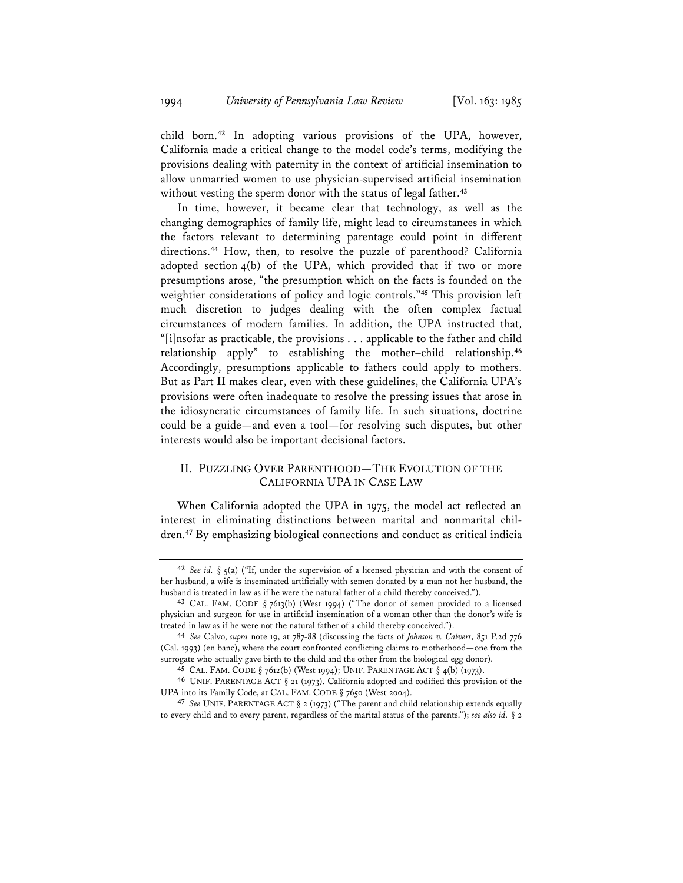child born.**<sup>42</sup>** In adopting various provisions of the UPA, however, California made a critical change to the model code's terms, modifying the provisions dealing with paternity in the context of artificial insemination to allow unmarried women to use physician-supervised artificial insemination without vesting the sperm donor with the status of legal father.**<sup>43</sup>**

In time, however, it became clear that technology, as well as the changing demographics of family life, might lead to circumstances in which the factors relevant to determining parentage could point in different directions.**<sup>44</sup>** How, then, to resolve the puzzle of parenthood? California adopted section 4(b) of the UPA, which provided that if two or more presumptions arose, "the presumption which on the facts is founded on the weightier considerations of policy and logic controls."**<sup>45</sup>** This provision left much discretion to judges dealing with the often complex factual circumstances of modern families. In addition, the UPA instructed that, "[i]nsofar as practicable, the provisions . . . applicable to the father and child relationship apply" to establishing the mother–child relationship.**<sup>46</sup>** Accordingly, presumptions applicable to fathers could apply to mothers. But as Part II makes clear, even with these guidelines, the California UPA's provisions were often inadequate to resolve the pressing issues that arose in the idiosyncratic circumstances of family life. In such situations, doctrine could be a guide—and even a tool—for resolving such disputes, but other interests would also be important decisional factors.

# II. PUZZLING OVER PARENTHOOD—THE EVOLUTION OF THE CALIFORNIA UPA IN CASE LAW

When California adopted the UPA in 1975, the model act reflected an interest in eliminating distinctions between marital and nonmarital children.**<sup>47</sup>** By emphasizing biological connections and conduct as critical indicia

**<sup>42</sup>** *See id.* § 5(a) ("If, under the supervision of a licensed physician and with the consent of her husband, a wife is inseminated artificially with semen donated by a man not her husband, the husband is treated in law as if he were the natural father of a child thereby conceived.").

**<sup>43</sup>** CAL. FAM. CODE § 7613(b) (West 1994) ("The donor of semen provided to a licensed physician and surgeon for use in artificial insemination of a woman other than the donor's wife is

treated in law as if he were not the natural father of a child thereby conceived."). **<sup>44</sup>** *See* Calvo, *supra* note 19, at 787-88 (discussing the facts of *Johnson v. Calvert*, 851 P.2d 776 (Cal. 1993) (en banc), where the court confronted conflicting claims to motherhood—one from the surrogate who actually gave birth to the child and the other from the biological egg donor).

**<sup>45</sup>** CAL. FAM. CODE § 7612(b) (West 1994); UNIF. PARENTAGE ACT § 4(b) (1973).

**<sup>46</sup>** UNIF. PARENTAGE ACT § 21 (1973). California adopted and codified this provision of the UPA into its Family Code, at CAL. FAM. CODE § 7650 (West 2004).

**<sup>47</sup>** *See* UNIF. PARENTAGE ACT § 2 (1973) ("The parent and child relationship extends equally to every child and to every parent, regardless of the marital status of the parents."); *see also id.* § 2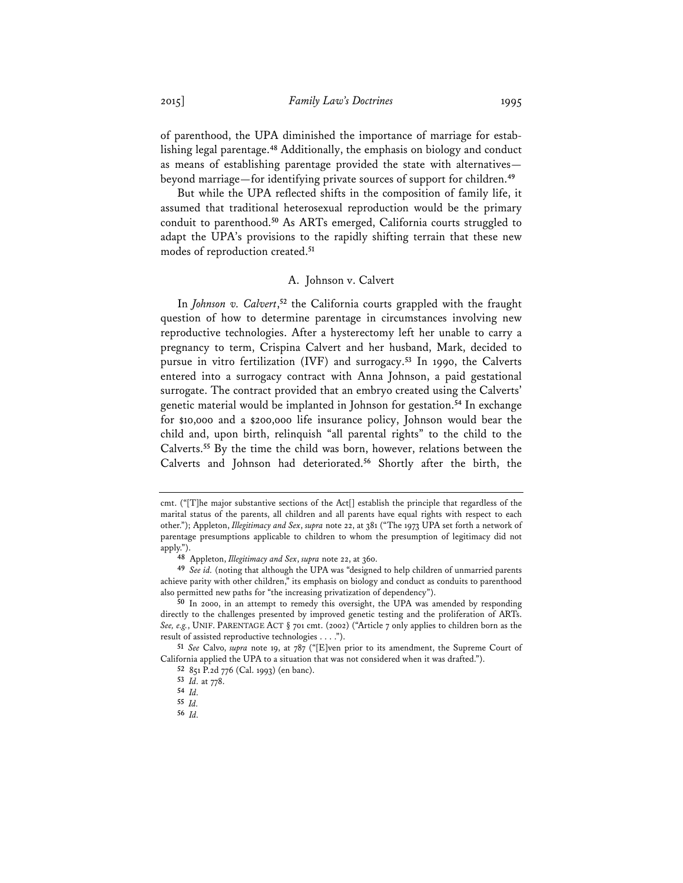of parenthood, the UPA diminished the importance of marriage for establishing legal parentage.**<sup>48</sup>** Additionally, the emphasis on biology and conduct as means of establishing parentage provided the state with alternatives beyond marriage—for identifying private sources of support for children.**<sup>49</sup>**

But while the UPA reflected shifts in the composition of family life, it assumed that traditional heterosexual reproduction would be the primary conduit to parenthood.**<sup>50</sup>** As ARTs emerged, California courts struggled to adapt the UPA's provisions to the rapidly shifting terrain that these new modes of reproduction created.**<sup>51</sup>**

## A. Johnson v. Calvert

In *Johnson v. Calvert*, **<sup>52</sup>** the California courts grappled with the fraught question of how to determine parentage in circumstances involving new reproductive technologies. After a hysterectomy left her unable to carry a pregnancy to term, Crispina Calvert and her husband, Mark, decided to pursue in vitro fertilization (IVF) and surrogacy.**<sup>53</sup>** In 1990, the Calverts entered into a surrogacy contract with Anna Johnson, a paid gestational surrogate. The contract provided that an embryo created using the Calverts' genetic material would be implanted in Johnson for gestation.**<sup>54</sup>** In exchange for \$10,000 and a \$200,000 life insurance policy, Johnson would bear the child and, upon birth, relinquish "all parental rights" to the child to the Calverts.**<sup>55</sup>** By the time the child was born, however, relations between the Calverts and Johnson had deteriorated.**<sup>56</sup>** Shortly after the birth, the

cmt. ("[T]he major substantive sections of the Act[] establish the principle that regardless of the marital status of the parents, all children and all parents have equal rights with respect to each other."); Appleton, *Illegitimacy and Sex*, *supra* note 22, at 381 ("The 1973 UPA set forth a network of parentage presumptions applicable to children to whom the presumption of legitimacy did not apply.").

**<sup>48</sup>** Appleton, *Illegitimacy and Sex*, *supra* note 22, at 360.

**<sup>49</sup>** *See id.* (noting that although the UPA was "designed to help children of unmarried parents achieve parity with other children," its emphasis on biology and conduct as conduits to parenthood also permitted new paths for "the increasing privatization of dependency").

**<sup>50</sup>** In 2000, in an attempt to remedy this oversight, the UPA was amended by responding directly to the challenges presented by improved genetic testing and the proliferation of ARTs. *See, e.g.*, UNIF. PARENTAGE ACT § 701 cmt. (2002) ("Article 7 only applies to children born as the result of assisted reproductive technologies . . . .").

**<sup>51</sup>** *See* Calvo, *supra* note 19, at 787 ("[E]ven prior to its amendment, the Supreme Court of California applied the UPA to a situation that was not considered when it was drafted.").

**<sup>52</sup>** 851 P.2d 776 (Cal. 1993) (en banc).

**<sup>53</sup>** *Id.* at 778.

**<sup>54</sup>** *Id.* **55** *Id.* **56** *Id.*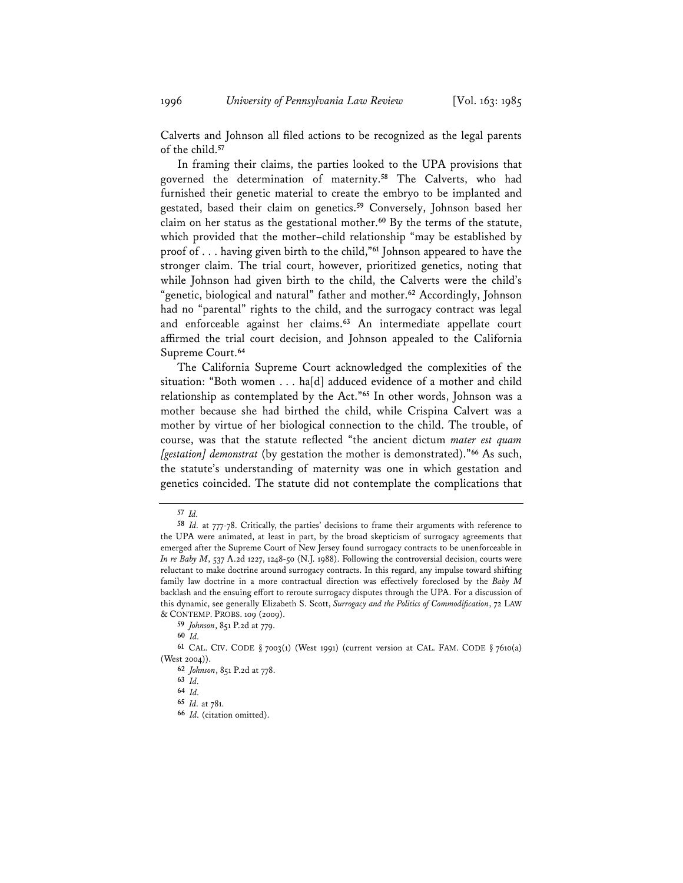Calverts and Johnson all filed actions to be recognized as the legal parents of the child.**<sup>57</sup>**

In framing their claims, the parties looked to the UPA provisions that governed the determination of maternity.**<sup>58</sup>** The Calverts, who had furnished their genetic material to create the embryo to be implanted and gestated, based their claim on genetics.**<sup>59</sup>** Conversely, Johnson based her claim on her status as the gestational mother.**<sup>60</sup>** By the terms of the statute, which provided that the mother–child relationship "may be established by proof of . . . having given birth to the child,"**<sup>61</sup>** Johnson appeared to have the stronger claim. The trial court, however, prioritized genetics, noting that while Johnson had given birth to the child, the Calverts were the child's "genetic, biological and natural" father and mother.**<sup>62</sup>** Accordingly, Johnson had no "parental" rights to the child, and the surrogacy contract was legal and enforceable against her claims.**<sup>63</sup>** An intermediate appellate court affirmed the trial court decision, and Johnson appealed to the California Supreme Court.**<sup>64</sup>**

The California Supreme Court acknowledged the complexities of the situation: "Both women . . . ha[d] adduced evidence of a mother and child relationship as contemplated by the Act."**<sup>65</sup>** In other words, Johnson was a mother because she had birthed the child, while Crispina Calvert was a mother by virtue of her biological connection to the child. The trouble, of course, was that the statute reflected "the ancient dictum *mater est quam [gestation] demonstrat* (by gestation the mother is demonstrated)."**<sup>66</sup>** As such, the statute's understanding of maternity was one in which gestation and genetics coincided. The statute did not contemplate the complications that

**<sup>57</sup>** *Id.* **<sup>58</sup>** *Id.* at 777-78. Critically, the parties' decisions to frame their arguments with reference to the UPA were animated, at least in part, by the broad skepticism of surrogacy agreements that emerged after the Supreme Court of New Jersey found surrogacy contracts to be unenforceable in *In re Baby M*, 537 A.2d 1227, 1248-50 (N.J. 1988). Following the controversial decision, courts were reluctant to make doctrine around surrogacy contracts. In this regard, any impulse toward shifting family law doctrine in a more contractual direction was effectively foreclosed by the *Baby M* backlash and the ensuing effort to reroute surrogacy disputes through the UPA. For a discussion of this dynamic, see generally Elizabeth S. Scott, *Surrogacy and the Politics of Commodification*, 72 LAW & CONTEMP. PROBS. 109 (2009).

**<sup>59</sup>** *Johnson*, 851 P.2d at 779.

**<sup>60</sup>** *Id.*

**<sup>61</sup>** CAL. CIV. CODE § 7003(1) (West 1991) (current version at CAL. FAM. CODE § 7610(a) (West 2004)).

**<sup>62</sup>** *Johnson*, 851 P.2d at 778.

**<sup>63</sup>** *Id.* **<sup>64</sup>** *Id.* **<sup>65</sup>** *Id.* at 781.

**<sup>66</sup>** *Id.* (citation omitted).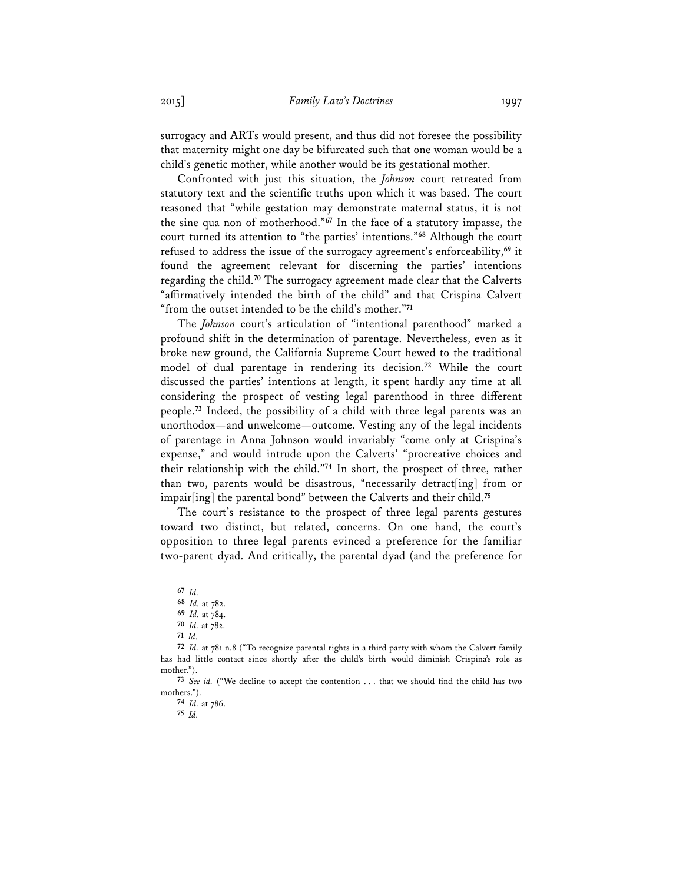surrogacy and ARTs would present, and thus did not foresee the possibility that maternity might one day be bifurcated such that one woman would be a child's genetic mother, while another would be its gestational mother.

Confronted with just this situation, the *Johnson* court retreated from statutory text and the scientific truths upon which it was based. The court reasoned that "while gestation may demonstrate maternal status, it is not the sine qua non of motherhood."**<sup>67</sup>** In the face of a statutory impasse, the court turned its attention to "the parties' intentions."**<sup>68</sup>** Although the court refused to address the issue of the surrogacy agreement's enforceability,**<sup>69</sup>** it found the agreement relevant for discerning the parties' intentions regarding the child.**<sup>70</sup>** The surrogacy agreement made clear that the Calverts "affirmatively intended the birth of the child" and that Crispina Calvert "from the outset intended to be the child's mother."**<sup>71</sup>**

The *Johnson* court's articulation of "intentional parenthood" marked a profound shift in the determination of parentage. Nevertheless, even as it broke new ground, the California Supreme Court hewed to the traditional model of dual parentage in rendering its decision.**<sup>72</sup>** While the court discussed the parties' intentions at length, it spent hardly any time at all considering the prospect of vesting legal parenthood in three different people.**<sup>73</sup>** Indeed, the possibility of a child with three legal parents was an unorthodox—and unwelcome—outcome. Vesting any of the legal incidents of parentage in Anna Johnson would invariably "come only at Crispina's expense," and would intrude upon the Calverts' "procreative choices and their relationship with the child."**<sup>74</sup>** In short, the prospect of three, rather than two, parents would be disastrous, "necessarily detract[ing] from or impair[ing] the parental bond" between the Calverts and their child.**<sup>75</sup>**

The court's resistance to the prospect of three legal parents gestures toward two distinct, but related, concerns. On one hand, the court's opposition to three legal parents evinced a preference for the familiar two-parent dyad. And critically, the parental dyad (and the preference for

**<sup>75</sup>** *Id.*

**<sup>67</sup>** *Id.* **<sup>68</sup>** *Id.* at 782.

**<sup>69</sup>** *Id.* at 784.

**<sup>70</sup>** *Id.* at 782.

**<sup>71</sup>** *Id.* **<sup>72</sup>** *Id.* at 781 n.8 ("To recognize parental rights in a third party with whom the Calvert family has had little contact since shortly after the child's birth would diminish Crispina's role as mother.").

**<sup>73</sup>** *See id.* ("We decline to accept the contention . . . that we should find the child has two mothers.").

**<sup>74</sup>** *Id.* at 786.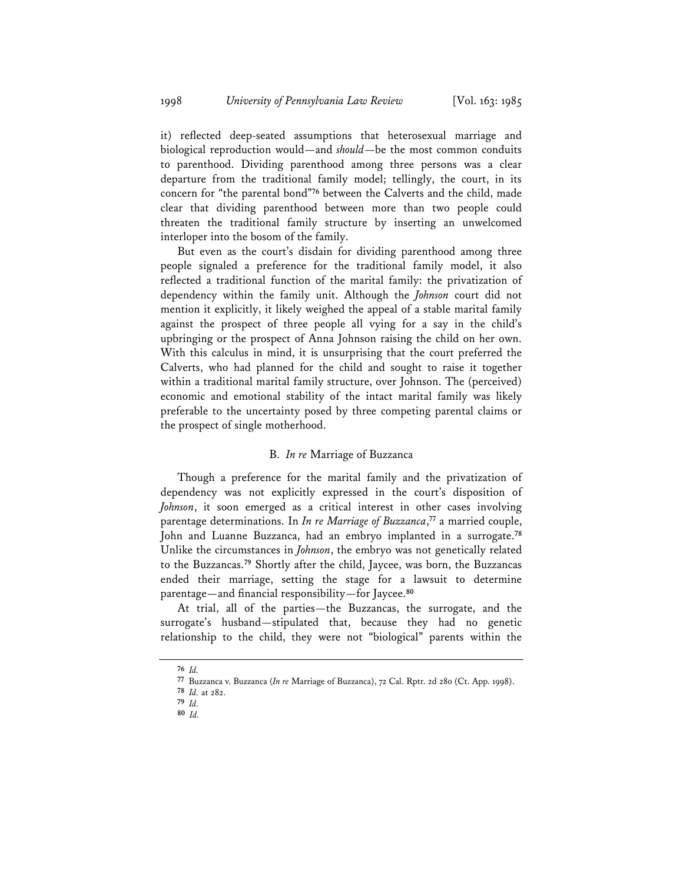it) reflected deep-seated assumptions that heterosexual marriage and biological reproduction would—and *should*—be the most common conduits to parenthood. Dividing parenthood among three persons was a clear departure from the traditional family model; tellingly, the court, in its concern for "the parental bond"**<sup>76</sup>** between the Calverts and the child, made clear that dividing parenthood between more than two people could threaten the traditional family structure by inserting an unwelcomed interloper into the bosom of the family.

But even as the court's disdain for dividing parenthood among three people signaled a preference for the traditional family model, it also reflected a traditional function of the marital family: the privatization of dependency within the family unit. Although the *Johnson* court did not mention it explicitly, it likely weighed the appeal of a stable marital family against the prospect of three people all vying for a say in the child's upbringing or the prospect of Anna Johnson raising the child on her own. With this calculus in mind, it is unsurprising that the court preferred the Calverts, who had planned for the child and sought to raise it together within a traditional marital family structure, over Johnson. The (perceived) economic and emotional stability of the intact marital family was likely preferable to the uncertainty posed by three competing parental claims or the prospect of single motherhood.

## B. *In re* Marriage of Buzzanca

Though a preference for the marital family and the privatization of dependency was not explicitly expressed in the court's disposition of *Johnson*, it soon emerged as a critical interest in other cases involving parentage determinations. In *In re Marriage of Buzzanca*, **<sup>77</sup>** a married couple, John and Luanne Buzzanca, had an embryo implanted in a surrogate.**<sup>78</sup>** Unlike the circumstances in *Johnson*, the embryo was not genetically related to the Buzzancas.**<sup>79</sup>** Shortly after the child, Jaycee, was born, the Buzzancas ended their marriage, setting the stage for a lawsuit to determine parentage—and financial responsibility—for Jaycee.**<sup>80</sup>**

At trial, all of the parties—the Buzzancas, the surrogate, and the surrogate's husband—stipulated that, because they had no genetic relationship to the child, they were not "biological" parents within the

**<sup>76</sup>** *Id.* **<sup>77</sup>** Buzzanca v. Buzzanca (*In re* Marriage of Buzzanca), 72 Cal. Rptr. 2d 280 (Ct. App. 1998).

**<sup>78</sup>** *Id.* at 282.

**<sup>79</sup>** *Id.*

**<sup>80</sup>** *Id.*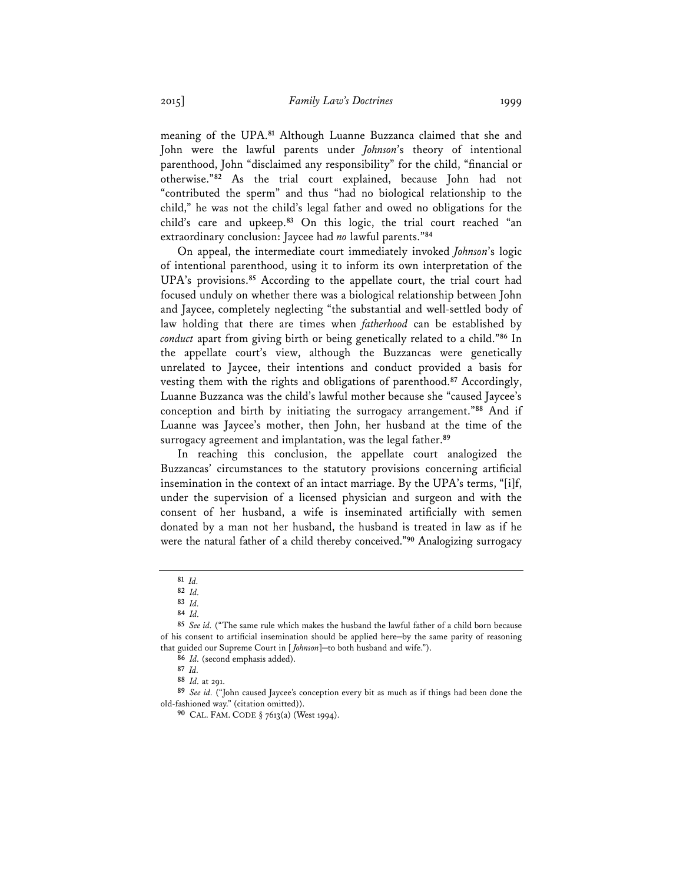meaning of the UPA.**<sup>81</sup>** Although Luanne Buzzanca claimed that she and John were the lawful parents under *Johnson*'s theory of intentional parenthood, John "disclaimed any responsibility" for the child, "financial or otherwise."**<sup>82</sup>** As the trial court explained, because John had not "contributed the sperm" and thus "had no biological relationship to the child," he was not the child's legal father and owed no obligations for the child's care and upkeep.**<sup>83</sup>** On this logic, the trial court reached "an extraordinary conclusion: Jaycee had *no* lawful parents."**<sup>84</sup>**

On appeal, the intermediate court immediately invoked *Johnson*'s logic of intentional parenthood, using it to inform its own interpretation of the UPA's provisions.**<sup>85</sup>** According to the appellate court, the trial court had focused unduly on whether there was a biological relationship between John and Jaycee, completely neglecting "the substantial and well-settled body of law holding that there are times when *fatherhood* can be established by *conduct* apart from giving birth or being genetically related to a child."**<sup>86</sup>** In the appellate court's view, although the Buzzancas were genetically unrelated to Jaycee, their intentions and conduct provided a basis for vesting them with the rights and obligations of parenthood.**<sup>87</sup>** Accordingly, Luanne Buzzanca was the child's lawful mother because she "caused Jaycee's conception and birth by initiating the surrogacy arrangement."**<sup>88</sup>** And if Luanne was Jaycee's mother, then John, her husband at the time of the surrogacy agreement and implantation, was the legal father.**<sup>89</sup>**

In reaching this conclusion, the appellate court analogized the Buzzancas' circumstances to the statutory provisions concerning artificial insemination in the context of an intact marriage. By the UPA's terms, "[i]f, under the supervision of a licensed physician and surgeon and with the consent of her husband, a wife is inseminated artificially with semen donated by a man not her husband, the husband is treated in law as if he were the natural father of a child thereby conceived."**<sup>90</sup>** Analogizing surrogacy

**<sup>81</sup>** *Id.* **<sup>82</sup>** *Id.*

**<sup>83</sup>** *Id.*

**<sup>84</sup>** *Id.*

**<sup>85</sup>** *See id.* ("The same rule which makes the husband the lawful father of a child born because of his consent to artificial insemination should be applied here—by the same parity of reasoning that guided our Supreme Court in [ *Johnson*]—to both husband and wife.").

**<sup>86</sup>** *Id.* (second emphasis added).

**<sup>87</sup>** *Id.*

**<sup>88</sup>** *Id.* at 291.

**<sup>89</sup>** *See id.* ("John caused Jaycee's conception every bit as much as if things had been done the old-fashioned way." (citation omitted)).

**<sup>90</sup>** CAL. FAM. CODE § 7613(a) (West 1994).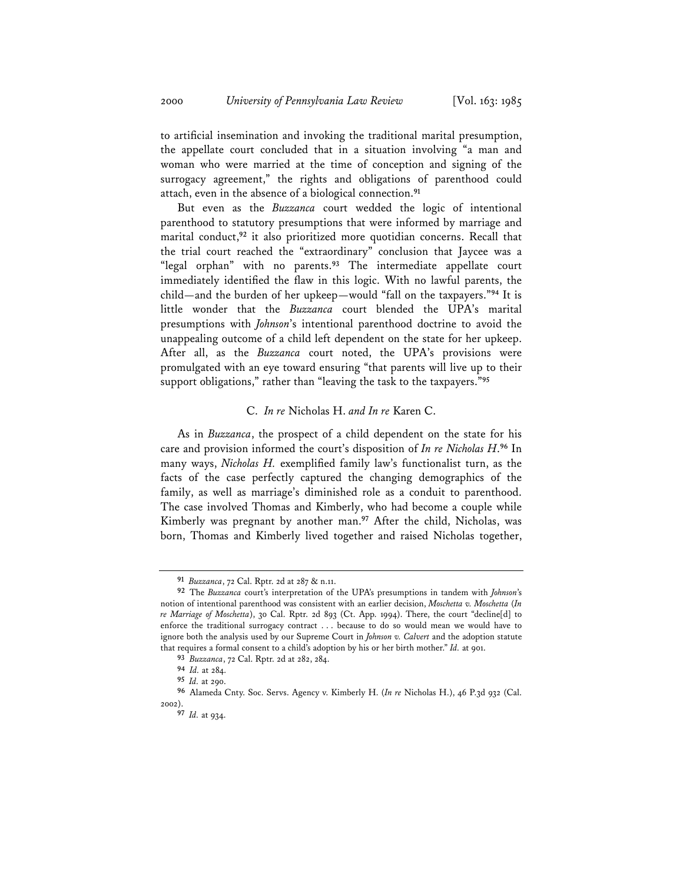to artificial insemination and invoking the traditional marital presumption, the appellate court concluded that in a situation involving "a man and woman who were married at the time of conception and signing of the surrogacy agreement," the rights and obligations of parenthood could attach, even in the absence of a biological connection.**<sup>91</sup>**

But even as the *Buzzanca* court wedded the logic of intentional parenthood to statutory presumptions that were informed by marriage and marital conduct,**<sup>92</sup>** it also prioritized more quotidian concerns. Recall that the trial court reached the "extraordinary" conclusion that Jaycee was a "legal orphan" with no parents.**<sup>93</sup>** The intermediate appellate court immediately identified the flaw in this logic. With no lawful parents, the child—and the burden of her upkeep—would "fall on the taxpayers."**<sup>94</sup>** It is little wonder that the *Buzzanca* court blended the UPA's marital presumptions with *Johnson*'s intentional parenthood doctrine to avoid the unappealing outcome of a child left dependent on the state for her upkeep. After all, as the *Buzzanca* court noted, the UPA's provisions were promulgated with an eye toward ensuring "that parents will live up to their support obligations," rather than "leaving the task to the taxpayers."**<sup>95</sup>**

## C. *In re* Nicholas H. *and In re* Karen C.

As in *Buzzanca*, the prospect of a child dependent on the state for his care and provision informed the court's disposition of *In re Nicholas H*. **<sup>96</sup>** In many ways, *Nicholas H.* exemplified family law's functionalist turn, as the facts of the case perfectly captured the changing demographics of the family, as well as marriage's diminished role as a conduit to parenthood. The case involved Thomas and Kimberly, who had become a couple while Kimberly was pregnant by another man.**<sup>97</sup>** After the child, Nicholas, was born, Thomas and Kimberly lived together and raised Nicholas together,

**<sup>91</sup>** *Buzzanca*, 72 Cal. Rptr. 2d at 287 & n.11.

**<sup>92</sup>** The *Buzzanca* court's interpretation of the UPA's presumptions in tandem with *Johnson*'s notion of intentional parenthood was consistent with an earlier decision, *Moschetta v. Moschetta* (*In re Marriage of Moschetta*), 30 Cal. Rptr. 2d 893 (Ct. App. 1994). There, the court "decline[d] to enforce the traditional surrogacy contract . . . because to do so would mean we would have to ignore both the analysis used by our Supreme Court in *Johnson v. Calvert* and the adoption statute that requires a formal consent to a child's adoption by his or her birth mother." *Id.* at 901.

**<sup>93</sup>** *Buzzanca*, 72 Cal. Rptr. 2d at 282, 284.

**<sup>94</sup>** *Id.* at 284.

**<sup>95</sup>** *Id.* at 290.

**<sup>96</sup>** Alameda Cnty. Soc. Servs. Agency v. Kimberly H. (*In re* Nicholas H.), 46 P.3d 932 (Cal. 2002).

**<sup>97</sup>** *Id.* at 934.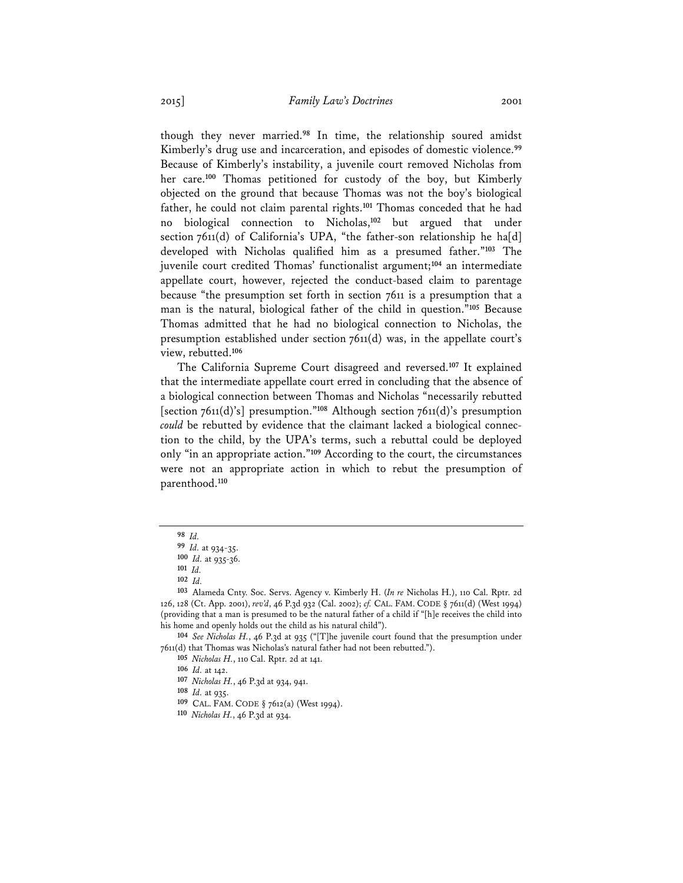though they never married.**<sup>98</sup>** In time, the relationship soured amidst Kimberly's drug use and incarceration, and episodes of domestic violence.**<sup>99</sup>** Because of Kimberly's instability, a juvenile court removed Nicholas from her care.**<sup>100</sup>** Thomas petitioned for custody of the boy, but Kimberly objected on the ground that because Thomas was not the boy's biological father, he could not claim parental rights.**<sup>101</sup>** Thomas conceded that he had no biological connection to Nicholas,**<sup>102</sup>** but argued that under section 7611(d) of California's UPA, "the father-son relationship he ha[d] developed with Nicholas qualified him as a presumed father."**<sup>103</sup>** The juvenile court credited Thomas' functionalist argument;**<sup>104</sup>** an intermediate appellate court, however, rejected the conduct-based claim to parentage because "the presumption set forth in section 7611 is a presumption that a man is the natural, biological father of the child in question."**<sup>105</sup>** Because Thomas admitted that he had no biological connection to Nicholas, the presumption established under section 7611(d) was, in the appellate court's view, rebutted.**<sup>106</sup>**

The California Supreme Court disagreed and reversed.**<sup>107</sup>** It explained that the intermediate appellate court erred in concluding that the absence of a biological connection between Thomas and Nicholas "necessarily rebutted [section 7611(d)'s] presumption."**<sup>108</sup>** Although section 7611(d)'s presumption *could* be rebutted by evidence that the claimant lacked a biological connection to the child, by the UPA's terms, such a rebuttal could be deployed only "in an appropriate action."**<sup>109</sup>** According to the court, the circumstances were not an appropriate action in which to rebut the presumption of parenthood.**<sup>110</sup>**

**<sup>105</sup>** *Nicholas H.*, 110 Cal. Rptr. 2d at 141.

**<sup>107</sup>** *Nicholas H.*, 46 P.3d at 934, 941.

**<sup>98</sup>** *Id.*

**<sup>99</sup>** *Id.* at 934-35.

**<sup>100</sup>** *Id.* at 935-36.

**<sup>101</sup>** *Id.*

**<sup>102</sup>** *Id.*

**<sup>103</sup>** Alameda Cnty. Soc. Servs. Agency v. Kimberly H. (*In re* Nicholas H.), 110 Cal. Rptr. 2d 126, 128 (Ct. App. 2001), *rev'd*, 46 P.3d 932 (Cal. 2002); *cf.* CAL. FAM. CODE § 7611(d) (West 1994) (providing that a man is presumed to be the natural father of a child if "[h]e receives the child into his home and openly holds out the child as his natural child").

**<sup>104</sup>** *See Nicholas H.*, 46 P.3d at 935 ("[T]he juvenile court found that the presumption under 7611(d) that Thomas was Nicholas's natural father had not been rebutted.").

**<sup>106</sup>** *Id.* at 142.

**<sup>108</sup>** *Id.* at 935.

**<sup>109</sup>** CAL. FAM. CODE § 7612(a) (West 1994).

**<sup>110</sup>** *Nicholas H.*, 46 P.3d at 934.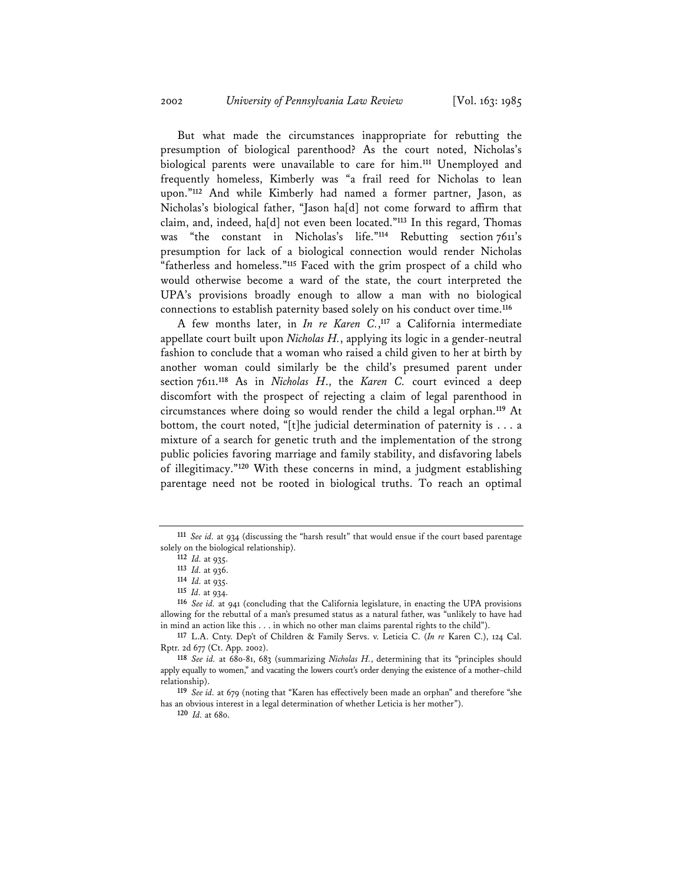But what made the circumstances inappropriate for rebutting the presumption of biological parenthood? As the court noted, Nicholas's biological parents were unavailable to care for him.**<sup>111</sup>** Unemployed and frequently homeless, Kimberly was "a frail reed for Nicholas to lean upon."**<sup>112</sup>** And while Kimberly had named a former partner, Jason, as Nicholas's biological father, "Jason ha[d] not come forward to affirm that claim, and, indeed, ha[d] not even been located."**<sup>113</sup>** In this regard, Thomas was "the constant in Nicholas's life."**<sup>114</sup>** Rebutting section 7611's presumption for lack of a biological connection would render Nicholas "fatherless and homeless."**<sup>115</sup>** Faced with the grim prospect of a child who would otherwise become a ward of the state, the court interpreted the UPA's provisions broadly enough to allow a man with no biological connections to establish paternity based solely on his conduct over time.**<sup>116</sup>**

A few months later, in *In re Karen C.*, **<sup>117</sup>** a California intermediate appellate court built upon *Nicholas H.*, applying its logic in a gender-neutral fashion to conclude that a woman who raised a child given to her at birth by another woman could similarly be the child's presumed parent under section 7611.**<sup>118</sup>** As in *Nicholas H*., the *Karen C.* court evinced a deep discomfort with the prospect of rejecting a claim of legal parenthood in circumstances where doing so would render the child a legal orphan.**<sup>119</sup>** At bottom, the court noted, "[t]he judicial determination of paternity is . . . a mixture of a search for genetic truth and the implementation of the strong public policies favoring marriage and family stability, and disfavoring labels of illegitimacy."**<sup>120</sup>** With these concerns in mind, a judgment establishing parentage need not be rooted in biological truths. To reach an optimal

**<sup>120</sup>** *Id.* at 680.

**<sup>111</sup>** *See id.* at 934 (discussing the "harsh result" that would ensue if the court based parentage solely on the biological relationship).

**<sup>112</sup>** *Id.* at 935.

**<sup>113</sup>** *Id.* at 936. **<sup>114</sup>** *Id.* at 935.

**<sup>115</sup>** *Id.* at 934.

**<sup>116</sup>** *See id.* at 941 (concluding that the California legislature, in enacting the UPA provisions allowing for the rebuttal of a man's presumed status as a natural father, was "unlikely to have had in mind an action like this . . . in which no other man claims parental rights to the child").

**<sup>117</sup>** L.A. Cnty. Dep't of Children & Family Servs. v. Leticia C. (*In re* Karen C.), 124 Cal. Rptr. 2d 677 (Ct. App. 2002).

**<sup>118</sup>** *See id.* at 680-81, 683 (summarizing *Nicholas H.*, determining that its "principles should apply equally to women," and vacating the lowers court's order denying the existence of a mother–child relationship).

**<sup>119</sup>** *See id.* at 679 (noting that "Karen has effectively been made an orphan" and therefore "she has an obvious interest in a legal determination of whether Leticia is her mother").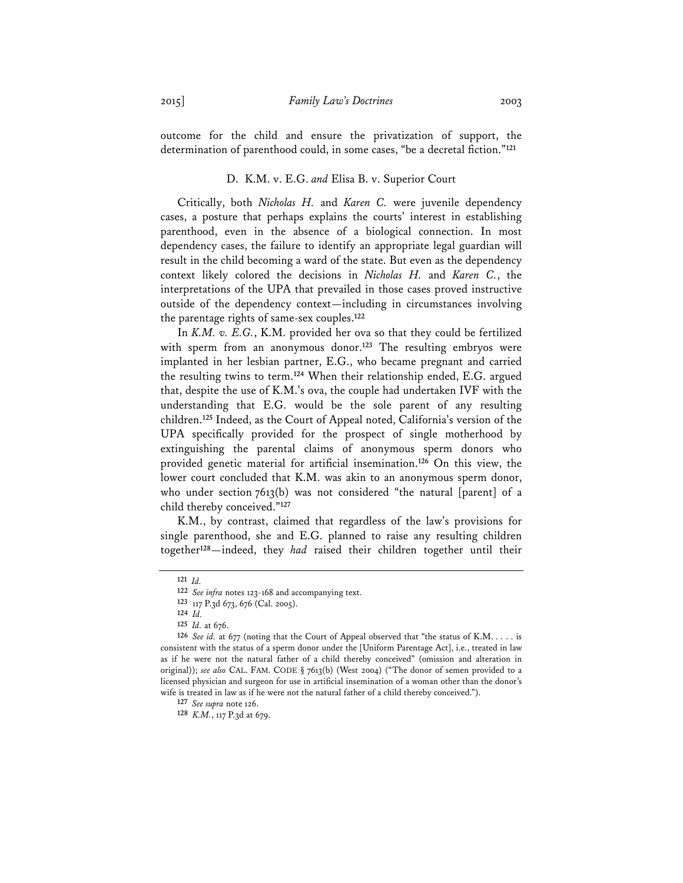outcome for the child and ensure the privatization of support, the determination of parenthood could, in some cases, "be a decretal fiction."**<sup>121</sup>**

### D. K.M. v. E.G. *and* Elisa B. v. Superior Court

Critically, both *Nicholas H.* and *Karen C.* were juvenile dependency cases, a posture that perhaps explains the courts' interest in establishing parenthood, even in the absence of a biological connection. In most dependency cases, the failure to identify an appropriate legal guardian will result in the child becoming a ward of the state. But even as the dependency context likely colored the decisions in *Nicholas H.* and *Karen C.*, the interpretations of the UPA that prevailed in those cases proved instructive outside of the dependency context—including in circumstances involving the parentage rights of same-sex couples.**<sup>122</sup>**

In *K.M. v. E.G.*, K.M. provided her ova so that they could be fertilized with sperm from an anonymous donor.<sup>123</sup> The resulting embryos were implanted in her lesbian partner, E.G., who became pregnant and carried the resulting twins to term.**<sup>124</sup>** When their relationship ended, E.G. argued that, despite the use of K.M.'s ova, the couple had undertaken IVF with the understanding that E.G. would be the sole parent of any resulting children.**<sup>125</sup>** Indeed, as the Court of Appeal noted, California's version of the UPA specifically provided for the prospect of single motherhood by extinguishing the parental claims of anonymous sperm donors who provided genetic material for artificial insemination.**<sup>126</sup>** On this view, the lower court concluded that K.M. was akin to an anonymous sperm donor, who under section 7613(b) was not considered "the natural [parent] of a child thereby conceived."**<sup>127</sup>**

K.M., by contrast, claimed that regardless of the law's provisions for single parenthood, she and E.G. planned to raise any resulting children together**<sup>128</sup>**—indeed, they *had* raised their children together until their

**<sup>121</sup>** *Id.* 

**<sup>122</sup>** *See infra* notes 123-168 and accompanying text.

**<sup>123</sup>** 117 P.3d 673, 676 (Cal. 2005).

**<sup>124</sup>** *Id.* **<sup>125</sup>** *Id.* at 676.

**<sup>126</sup>** *See id.* at 677 (noting that the Court of Appeal observed that "the status of K.M. . . . . is consistent with the status of a sperm donor under the [Uniform Parentage Act], i.e., treated in law as if he were not the natural father of a child thereby conceived" (omission and alteration in original)); *see also* CAL. FAM. CODE § 7613(b) (West 2004) ("The donor of semen provided to a licensed physician and surgeon for use in artificial insemination of a woman other than the donor's wife is treated in law as if he were not the natural father of a child thereby conceived.").

**<sup>127</sup>** *See supra* note 126.

**<sup>128</sup>** *K.M.*, 117 P.3d at 679.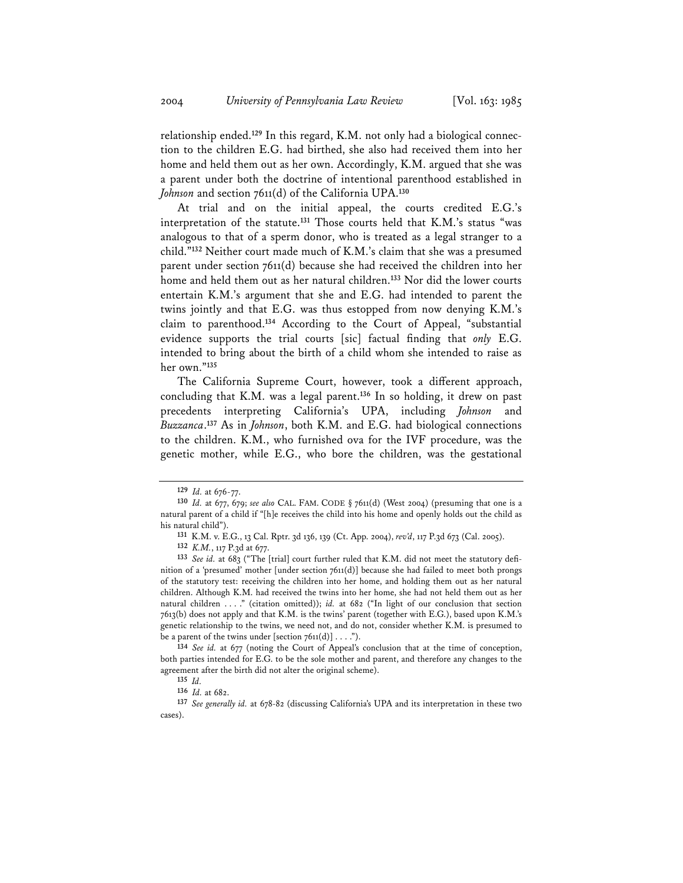relationship ended.**<sup>129</sup>** In this regard, K.M. not only had a biological connection to the children E.G. had birthed, she also had received them into her home and held them out as her own. Accordingly, K.M. argued that she was a parent under both the doctrine of intentional parenthood established in *Johnson* and section 7611(d) of the California UPA.**<sup>130</sup>**

At trial and on the initial appeal, the courts credited E.G.'s interpretation of the statute.**<sup>131</sup>** Those courts held that K.M.'s status "was analogous to that of a sperm donor, who is treated as a legal stranger to a child."**<sup>132</sup>** Neither court made much of K.M.'s claim that she was a presumed parent under section 7611(d) because she had received the children into her home and held them out as her natural children.**<sup>133</sup>** Nor did the lower courts entertain K.M.'s argument that she and E.G. had intended to parent the twins jointly and that E.G. was thus estopped from now denying K.M.'s claim to parenthood.**<sup>134</sup>** According to the Court of Appeal, "substantial evidence supports the trial courts [sic] factual finding that *only* E.G. intended to bring about the birth of a child whom she intended to raise as her own."**<sup>135</sup>**

The California Supreme Court, however, took a different approach, concluding that K.M. was a legal parent.**<sup>136</sup>** In so holding, it drew on past precedents interpreting California's UPA, including *Johnson* and *Buzzanca*. **<sup>137</sup>** As in *Johnson*, both K.M. and E.G. had biological connections to the children. K.M., who furnished ova for the IVF procedure, was the genetic mother, while E.G., who bore the children, was the gestational

**<sup>134</sup>** *See id.* at 677 (noting the Court of Appeal's conclusion that at the time of conception, both parties intended for E.G. to be the sole mother and parent, and therefore any changes to the agreement after the birth did not alter the original scheme).<br> $135$   $Id$ .

**<sup>129</sup>** *Id.* at 676-77.

**<sup>130</sup>** *Id.* at 677, 679; *see also* CAL. FAM. CODE § 7611(d) (West 2004) (presuming that one is a natural parent of a child if "[h]e receives the child into his home and openly holds out the child as his natural child").

**<sup>131</sup>** K.M. v. E.G., 13 Cal. Rptr. 3d 136, 139 (Ct. App. 2004), *rev'd*, 117 P.3d 673 (Cal. 2005).

**<sup>132</sup>** *K.M.*, 117 P.3d at 677.

**<sup>133</sup>** *See id.* at 683 ("The [trial] court further ruled that K.M. did not meet the statutory definition of a 'presumed' mother [under section 7611(d)] because she had failed to meet both prongs of the statutory test: receiving the children into her home, and holding them out as her natural children. Although K.M. had received the twins into her home, she had not held them out as her natural children . . . ." (citation omitted)); *id.* at 682 ("In light of our conclusion that section 7613(b) does not apply and that K.M. is the twins' parent (together with E.G.), based upon K.M.'s genetic relationship to the twins, we need not, and do not, consider whether K.M. is presumed to be a parent of the twins under [section  $7611(d)$ ] . . . .").

**<sup>135</sup>** *Id.* **<sup>136</sup>** *Id.* at 682.

**<sup>137</sup>** *See generally id.* at 678-82 (discussing California's UPA and its interpretation in these two cases).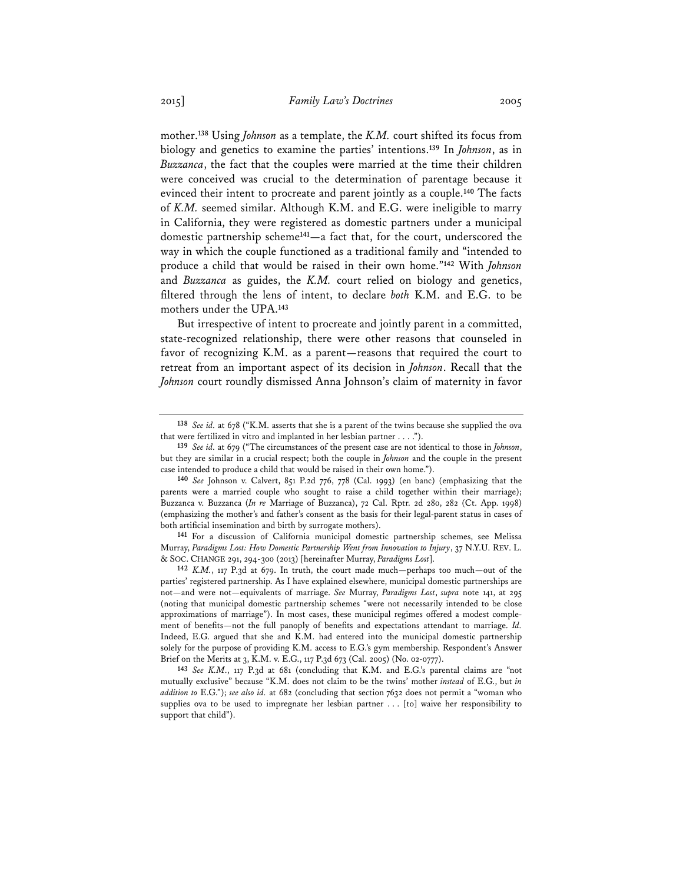mother.**<sup>138</sup>** Using *Johnson* as a template, the *K.M.* court shifted its focus from biology and genetics to examine the parties' intentions.**<sup>139</sup>** In *Johnson*, as in *Buzzanca*, the fact that the couples were married at the time their children were conceived was crucial to the determination of parentage because it evinced their intent to procreate and parent jointly as a couple.**<sup>140</sup>** The facts of *K.M.* seemed similar. Although K.M. and E.G. were ineligible to marry in California, they were registered as domestic partners under a municipal domestic partnership scheme**<sup>141</sup>**—a fact that, for the court, underscored the way in which the couple functioned as a traditional family and "intended to produce a child that would be raised in their own home."**<sup>142</sup>** With *Johnson* and *Buzzanca* as guides, the *K.M.* court relied on biology and genetics, filtered through the lens of intent, to declare *both* K.M. and E.G. to be mothers under the UPA.**<sup>143</sup>**

But irrespective of intent to procreate and jointly parent in a committed, state-recognized relationship, there were other reasons that counseled in favor of recognizing K.M. as a parent—reasons that required the court to retreat from an important aspect of its decision in *Johnson*. Recall that the *Johnson* court roundly dismissed Anna Johnson's claim of maternity in favor

**<sup>138</sup>** *See id.* at 678 ("K.M. asserts that she is a parent of the twins because she supplied the ova that were fertilized in vitro and implanted in her lesbian partner . . . .").

**<sup>139</sup>** *See id.* at 679 ("The circumstances of the present case are not identical to those in *Johnson*, but they are similar in a crucial respect; both the couple in *Johnson* and the couple in the present case intended to produce a child that would be raised in their own home.").

**<sup>140</sup>** *See* Johnson v. Calvert, 851 P.2d 776, 778 (Cal. 1993) (en banc) (emphasizing that the parents were a married couple who sought to raise a child together within their marriage); Buzzanca v. Buzzanca (*In re* Marriage of Buzzanca), 72 Cal. Rptr. 2d 280, 282 (Ct. App. 1998) (emphasizing the mother's and father's consent as the basis for their legal-parent status in cases of both artificial insemination and birth by surrogate mothers). **141** For a discussion of California municipal domestic partnership schemes, see Melissa

Murray, *Paradigms Lost: How Domestic Partnership Went from Innovation to Injury*, 37 N.Y.U. REV. L. & SOC. CHANGE 291, 294-300 (2013) [hereinafter Murray, *Paradigms Lost*].

**<sup>142</sup>** *K.M.*, 117 P.3d at 679. In truth, the court made much—perhaps too much—out of the parties' registered partnership. As I have explained elsewhere, municipal domestic partnerships are not—and were not—equivalents of marriage. *See* Murray, *Paradigms Lost*, *supra* note 141, at 295 (noting that municipal domestic partnership schemes "were not necessarily intended to be close approximations of marriage"). In most cases, these municipal regimes offered a modest complement of benefits—not the full panoply of benefits and expectations attendant to marriage. *Id.* Indeed, E.G. argued that she and K.M. had entered into the municipal domestic partnership solely for the purpose of providing K.M. access to E.G.'s gym membership. Respondent's Answer Brief on the Merits at 3, K.M. v. E.G., 117 P.3d 673 (Cal. 2005) (No. 02-0777).

**<sup>143</sup>** *See K.M*., 117 P.3d at 681 (concluding that K.M. and E.G.'s parental claims are "not mutually exclusive" because "K.M. does not claim to be the twins' mother *instead* of E.G., but *in addition to* E.G."); *see also id.* at 682 (concluding that section 7632 does not permit a "woman who supplies ova to be used to impregnate her lesbian partner . . . [to] waive her responsibility to support that child").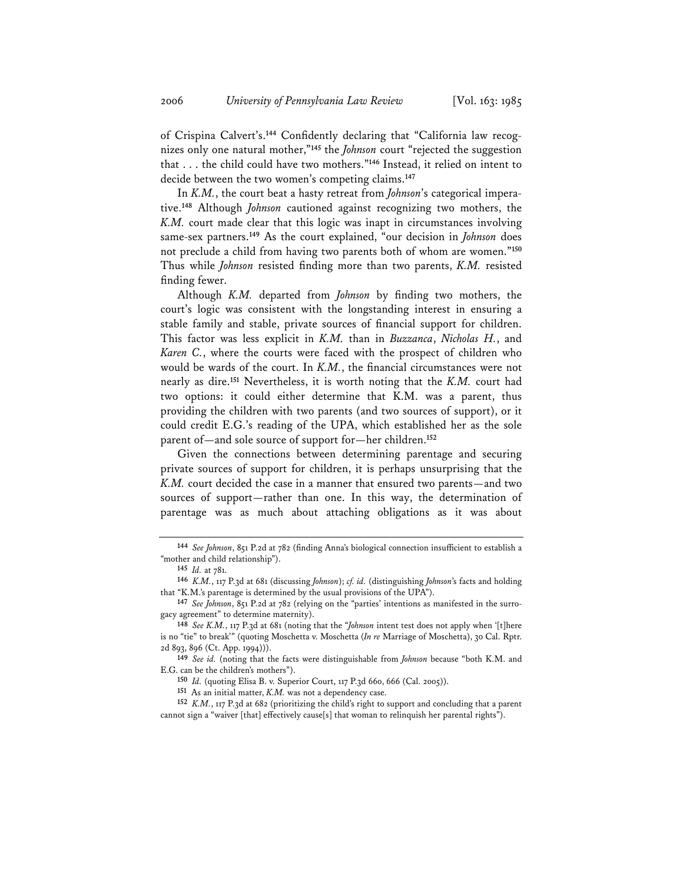of Crispina Calvert's.**<sup>144</sup>** Confidently declaring that "California law recognizes only one natural mother,"**<sup>145</sup>** the *Johnson* court "rejected the suggestion that . . . the child could have two mothers."**<sup>146</sup>** Instead, it relied on intent to decide between the two women's competing claims.**<sup>147</sup>**

In *K.M.*, the court beat a hasty retreat from *Johnson*'s categorical imperative.**<sup>148</sup>** Although *Johnson* cautioned against recognizing two mothers, the *K.M.* court made clear that this logic was inapt in circumstances involving same-sex partners.**<sup>149</sup>** As the court explained, "our decision in *Johnson* does not preclude a child from having two parents both of whom are women."**<sup>150</sup>** Thus while *Johnson* resisted finding more than two parents, *K.M.* resisted finding fewer.

Although *K.M.* departed from *Johnson* by finding two mothers, the court's logic was consistent with the longstanding interest in ensuring a stable family and stable, private sources of financial support for children. This factor was less explicit in *K.M.* than in *Buzzanca*, *Nicholas H.*, and *Karen C.*, where the courts were faced with the prospect of children who would be wards of the court. In *K.M.*, the financial circumstances were not nearly as dire.**<sup>151</sup>** Nevertheless, it is worth noting that the *K.M.* court had two options: it could either determine that K.M. was a parent, thus providing the children with two parents (and two sources of support), or it could credit E.G.'s reading of the UPA, which established her as the sole parent of—and sole source of support for—her children.**<sup>152</sup>**

Given the connections between determining parentage and securing private sources of support for children, it is perhaps unsurprising that the *K.M.* court decided the case in a manner that ensured two parents—and two sources of support—rather than one. In this way, the determination of parentage was as much about attaching obligations as it was about

**<sup>144</sup>** *See Johnson*, 851 P.2d at 782 (finding Anna's biological connection insufficient to establish a "mother and child relationship").

**<sup>145</sup>** *Id.* at 781.

**<sup>146</sup>** *K.M.*, 117 P.3d at 681 (discussing *Johnson*); *cf. id.* (distinguishing *Johnson*'s facts and holding that "K.M.'s parentage is determined by the usual provisions of the UPA").

**<sup>147</sup>** *See Johnson*, 851 P.2d at 782 (relying on the "parties' intentions as manifested in the surrogacy agreement" to determine maternity).

**<sup>148</sup>** *See K.M.*, 117 P.3d at 681 (noting that the "*Johnson* intent test does not apply when '[t]here is no "tie" to break'" (quoting Moschetta v. Moschetta (*In re* Marriage of Moschetta), 30 Cal. Rptr. 2d 893, 896 (Ct. App. 1994))).

**<sup>149</sup>** *See id.* (noting that the facts were distinguishable from *Johnson* because "both K.M. and E.G. can be the children's mothers").

**<sup>150</sup>** *Id.* (quoting Elisa B. v. Superior Court, 117 P.3d 660, 666 (Cal. 2005)).

**<sup>151</sup>** As an initial matter, *K.M.* was not a dependency case.

**<sup>152</sup>** *K.M.*, 117 P.3d at 682 (prioritizing the child's right to support and concluding that a parent cannot sign a "waiver [that] effectively cause[s] that woman to relinquish her parental rights").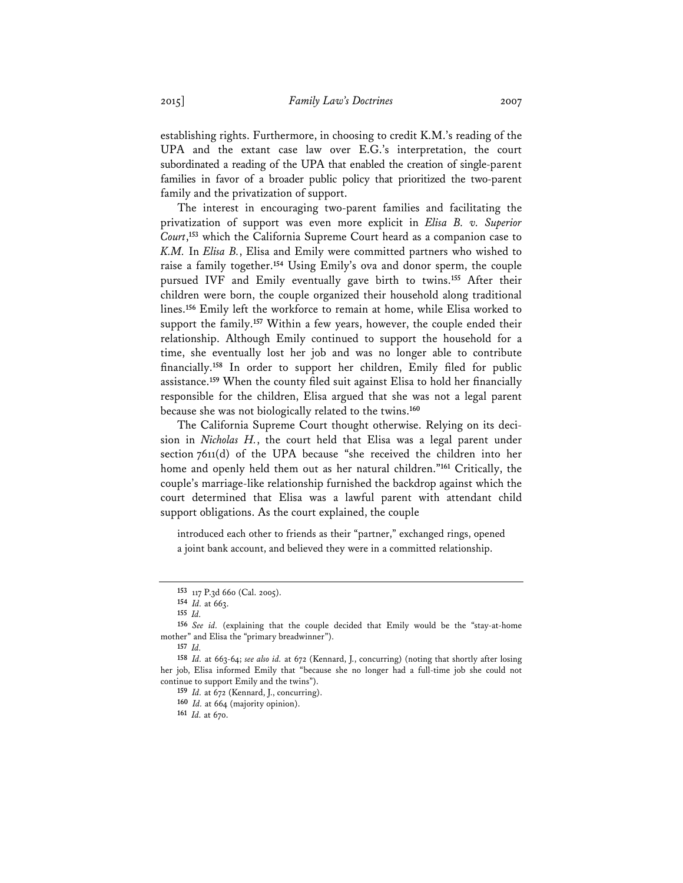establishing rights. Furthermore, in choosing to credit K.M.'s reading of the UPA and the extant case law over E.G.'s interpretation, the court subordinated a reading of the UPA that enabled the creation of single-parent families in favor of a broader public policy that prioritized the two-parent family and the privatization of support.

The interest in encouraging two-parent families and facilitating the privatization of support was even more explicit in *Elisa B. v. Superior Court*, **<sup>153</sup>** which the California Supreme Court heard as a companion case to *K.M.* In *Elisa B.*, Elisa and Emily were committed partners who wished to raise a family together.**<sup>154</sup>** Using Emily's ova and donor sperm, the couple pursued IVF and Emily eventually gave birth to twins.**<sup>155</sup>** After their children were born, the couple organized their household along traditional lines.**<sup>156</sup>** Emily left the workforce to remain at home, while Elisa worked to support the family.**<sup>157</sup>** Within a few years, however, the couple ended their relationship. Although Emily continued to support the household for a time, she eventually lost her job and was no longer able to contribute financially.**<sup>158</sup>** In order to support her children, Emily filed for public assistance.**<sup>159</sup>** When the county filed suit against Elisa to hold her financially responsible for the children, Elisa argued that she was not a legal parent because she was not biologically related to the twins.**<sup>160</sup>**

The California Supreme Court thought otherwise. Relying on its decision in *Nicholas H.*, the court held that Elisa was a legal parent under section 7611(d) of the UPA because "she received the children into her home and openly held them out as her natural children."**<sup>161</sup>** Critically, the couple's marriage-like relationship furnished the backdrop against which the court determined that Elisa was a lawful parent with attendant child support obligations. As the court explained, the couple

introduced each other to friends as their "partner," exchanged rings, opened a joint bank account, and believed they were in a committed relationship.

**<sup>153</sup>** 117 P.3d 660 (Cal. 2005).

**<sup>154</sup>** *Id.* at 663.

**<sup>155</sup>** *Id.* **<sup>156</sup>** *See id.* (explaining that the couple decided that Emily would be the "stay-at-home mother" and Elisa the "primary breadwinner").

**<sup>157</sup>** *Id.* **<sup>158</sup>** *Id.* at 663-64; *see also id.* at 672 (Kennard, J., concurring) (noting that shortly after losing her job, Elisa informed Emily that "because she no longer had a full-time job she could not continue to support Emily and the twins").

**<sup>159</sup>** *Id.* at 672 (Kennard, J., concurring).

**<sup>160</sup>** *Id.* at 664 (majority opinion).

**<sup>161</sup>** *Id.* at 670.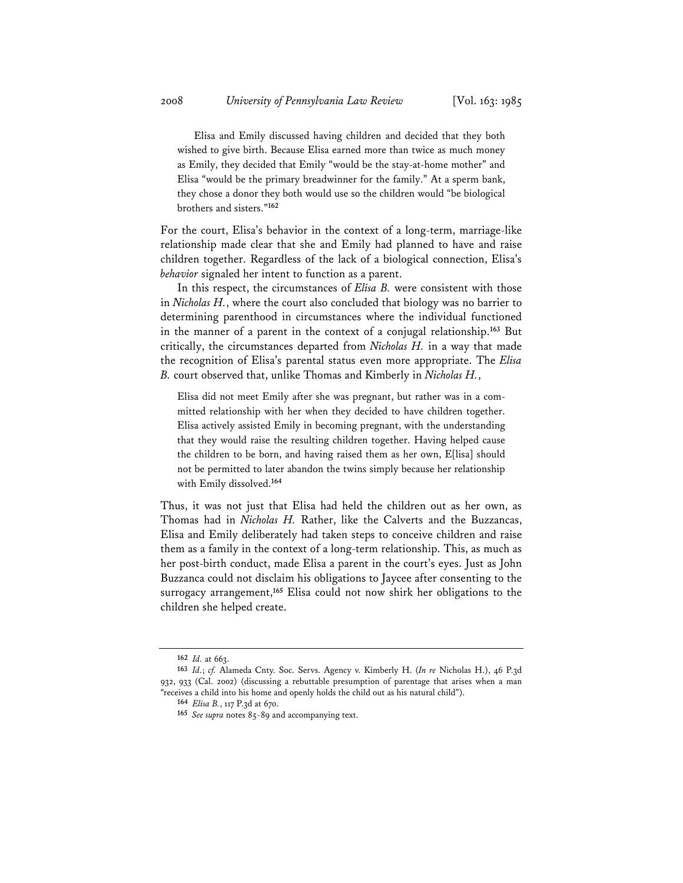Elisa and Emily discussed having children and decided that they both wished to give birth. Because Elisa earned more than twice as much money as Emily, they decided that Emily "would be the stay-at-home mother" and Elisa "would be the primary breadwinner for the family." At a sperm bank, they chose a donor they both would use so the children would "be biological brothers and sisters."**<sup>162</sup>**

For the court, Elisa's behavior in the context of a long-term, marriage-like relationship made clear that she and Emily had planned to have and raise children together. Regardless of the lack of a biological connection, Elisa's *behavior* signaled her intent to function as a parent.

In this respect, the circumstances of *Elisa B.* were consistent with those in *Nicholas H.*, where the court also concluded that biology was no barrier to determining parenthood in circumstances where the individual functioned in the manner of a parent in the context of a conjugal relationship.**<sup>163</sup>** But critically, the circumstances departed from *Nicholas H.* in a way that made the recognition of Elisa's parental status even more appropriate. The *Elisa B.* court observed that, unlike Thomas and Kimberly in *Nicholas H.*,

Elisa did not meet Emily after she was pregnant, but rather was in a committed relationship with her when they decided to have children together. Elisa actively assisted Emily in becoming pregnant, with the understanding that they would raise the resulting children together. Having helped cause the children to be born, and having raised them as her own, E[lisa] should not be permitted to later abandon the twins simply because her relationship with Emily dissolved.**<sup>164</sup>**

Thus, it was not just that Elisa had held the children out as her own, as Thomas had in *Nicholas H.* Rather, like the Calverts and the Buzzancas, Elisa and Emily deliberately had taken steps to conceive children and raise them as a family in the context of a long-term relationship. This, as much as her post-birth conduct, made Elisa a parent in the court's eyes. Just as John Buzzanca could not disclaim his obligations to Jaycee after consenting to the surrogacy arrangement,**<sup>165</sup>** Elisa could not now shirk her obligations to the children she helped create.

**<sup>162</sup>** *Id.* at 663.

**<sup>163</sup>** *Id.*; *cf.* Alameda Cnty. Soc. Servs. Agency v. Kimberly H. (*In re* Nicholas H.), 46 P.3d 932, 933 (Cal. 2002) (discussing a rebuttable presumption of parentage that arises when a man "receives a child into his home and openly holds the child out as his natural child").

**<sup>164</sup>** *Elisa B.*, 117 P.3d at 670.

**<sup>165</sup>** *See supra* notes 85-89 and accompanying text.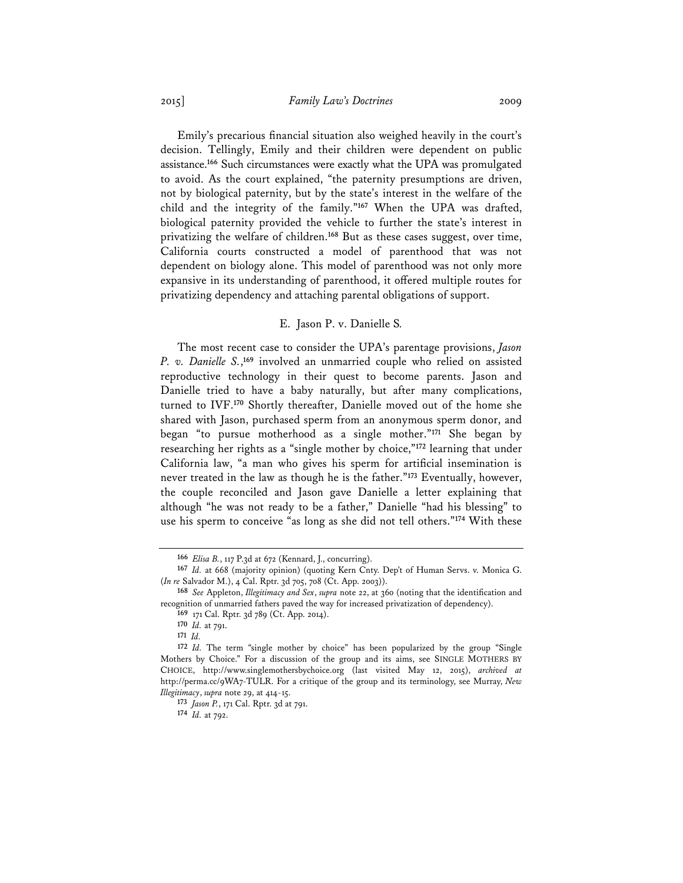Emily's precarious financial situation also weighed heavily in the court's decision. Tellingly, Emily and their children were dependent on public assistance.**<sup>166</sup>** Such circumstances were exactly what the UPA was promulgated to avoid. As the court explained, "the paternity presumptions are driven, not by biological paternity, but by the state's interest in the welfare of the child and the integrity of the family."**<sup>167</sup>** When the UPA was drafted, biological paternity provided the vehicle to further the state's interest in privatizing the welfare of children.**<sup>168</sup>** But as these cases suggest, over time, California courts constructed a model of parenthood that was not dependent on biology alone. This model of parenthood was not only more expansive in its understanding of parenthood, it offered multiple routes for privatizing dependency and attaching parental obligations of support.

#### E. Jason P. v. Danielle S*.*

The most recent case to consider the UPA's parentage provisions, *Jason P. v. Danielle S.*, **<sup>169</sup>** involved an unmarried couple who relied on assisted reproductive technology in their quest to become parents. Jason and Danielle tried to have a baby naturally, but after many complications, turned to IVF.**<sup>170</sup>** Shortly thereafter, Danielle moved out of the home she shared with Jason, purchased sperm from an anonymous sperm donor, and began "to pursue motherhood as a single mother."**<sup>171</sup>** She began by researching her rights as a "single mother by choice,"**<sup>172</sup>** learning that under California law, "a man who gives his sperm for artificial insemination is never treated in the law as though he is the father."**<sup>173</sup>** Eventually, however, the couple reconciled and Jason gave Danielle a letter explaining that although "he was not ready to be a father," Danielle "had his blessing" to use his sperm to conceive "as long as she did not tell others."**<sup>174</sup>** With these

**<sup>166</sup>** *Elisa B.*, 117 P.3d at 672 (Kennard, J., concurring).

**<sup>167</sup>** *Id.* at 668 (majority opinion) (quoting Kern Cnty. Dep't of Human Servs. v. Monica G. (*In re* Salvador M.), 4 Cal. Rptr. 3d 705, 708 (Ct. App. 2003)).

**<sup>168</sup>** *See* Appleton, *Illegitimacy and Sex*, *supra* note 22, at 360 (noting that the identification and recognition of unmarried fathers paved the way for increased privatization of dependency).

**<sup>169</sup>** 171 Cal. Rptr. 3d 789 (Ct. App. 2014).

**<sup>170</sup>** *Id.* at 791.

**<sup>171</sup>** *Id.* **<sup>172</sup>** *Id.* The term "single mother by choice" has been popularized by the group "Single Mothers by Choice." For a discussion of the group and its aims, see SINGLE MOTHERS BY CHOICE, http://www.singlemothersbychoice.org (last visited May 12, 2015), *archived at* http://perma.cc/9WA7-TULR. For a critique of the group and its terminology, see Murray, *New Illegitimacy*, *supra* note 29, at 414-15.

**<sup>173</sup>** *Jason P.*, 171 Cal. Rptr. 3d at 791.

**<sup>174</sup>** *Id.* at 792.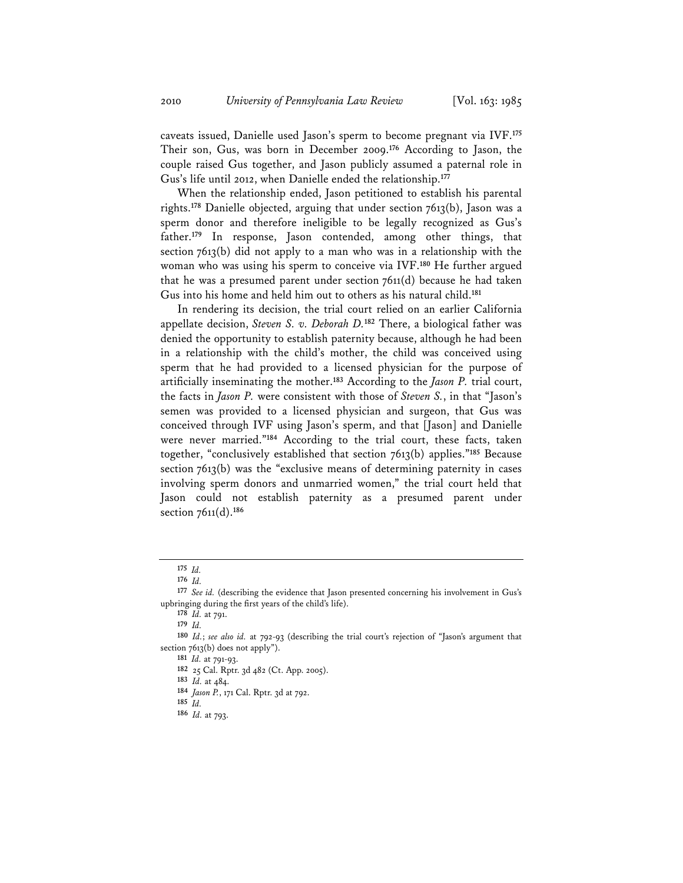caveats issued, Danielle used Jason's sperm to become pregnant via IVF.**<sup>175</sup>** Their son, Gus, was born in December 2009.**<sup>176</sup>** According to Jason, the couple raised Gus together, and Jason publicly assumed a paternal role in Gus's life until 2012, when Danielle ended the relationship.**<sup>177</sup>**

When the relationship ended, Jason petitioned to establish his parental rights.**<sup>178</sup>** Danielle objected, arguing that under section 7613(b), Jason was a sperm donor and therefore ineligible to be legally recognized as Gus's father.**<sup>179</sup>** In response, Jason contended, among other things, that section 7613(b) did not apply to a man who was in a relationship with the woman who was using his sperm to conceive via IVF.**<sup>180</sup>** He further argued that he was a presumed parent under section 7611(d) because he had taken Gus into his home and held him out to others as his natural child.**<sup>181</sup>**

In rendering its decision, the trial court relied on an earlier California appellate decision, *Steven S. v. Deborah D.***<sup>182</sup>** There, a biological father was denied the opportunity to establish paternity because, although he had been in a relationship with the child's mother, the child was conceived using sperm that he had provided to a licensed physician for the purpose of artificially inseminating the mother.**<sup>183</sup>** According to the *Jason P.* trial court, the facts in *Jason P.* were consistent with those of *Steven S.*, in that "Jason's semen was provided to a licensed physician and surgeon, that Gus was conceived through IVF using Jason's sperm, and that [Jason] and Danielle were never married."**<sup>184</sup>** According to the trial court, these facts, taken together, "conclusively established that section 7613(b) applies."**<sup>185</sup>** Because section 7613(b) was the "exclusive means of determining paternity in cases involving sperm donors and unmarried women," the trial court held that Jason could not establish paternity as a presumed parent under section 7611(d).**<sup>186</sup>**

**<sup>178</sup>** *Id.* at 791.

**<sup>175</sup>** *Id.* **<sup>176</sup>** *Id.* **<sup>177</sup>** *See id.* (describing the evidence that Jason presented concerning his involvement in Gus's upbringing during the first years of the child's life).

**<sup>179</sup>** *Id.*

**<sup>180</sup>** *Id.*; *see also id.* at 792-93 (describing the trial court's rejection of "Jason's argument that section 7613(b) does not apply").

**<sup>181</sup>** *Id.* at 791-93.

**<sup>182</sup>** 25 Cal. Rptr. 3d 482 (Ct. App. 2005).

**<sup>183</sup>** *Id.* at 484.

**<sup>184</sup>** *Jason P.*, 171 Cal. Rptr. 3d at 792.

**<sup>185</sup>** *Id.* **<sup>186</sup>** *Id.* at 793.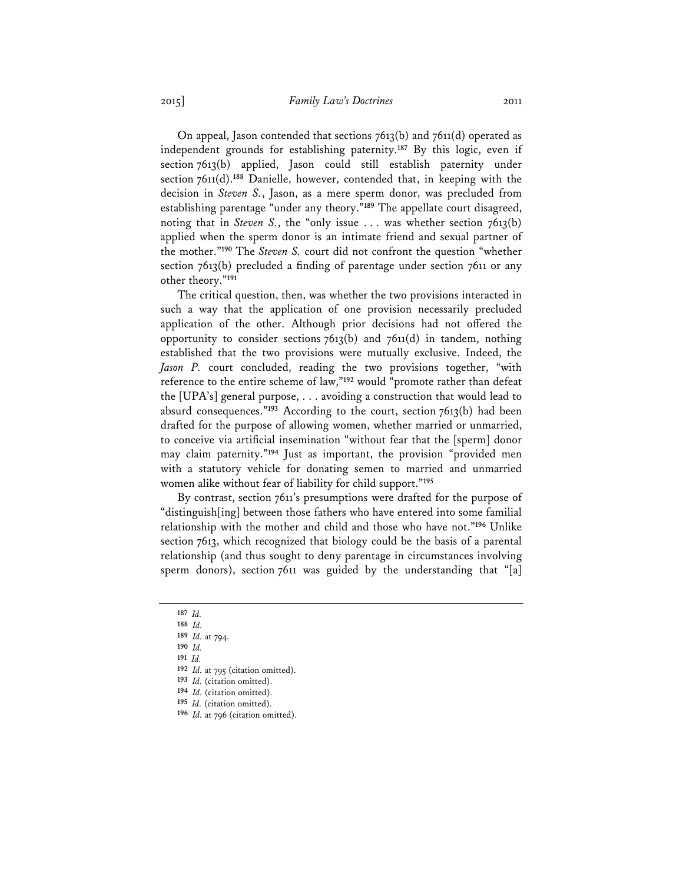On appeal, Jason contended that sections 7613(b) and 7611(d) operated as independent grounds for establishing paternity.**<sup>187</sup>** By this logic, even if section 7613(b) applied, Jason could still establish paternity under section 7611(d).**<sup>188</sup>** Danielle, however, contended that, in keeping with the decision in *Steven S.*, Jason, as a mere sperm donor, was precluded from establishing parentage "under any theory."**<sup>189</sup>** The appellate court disagreed, noting that in *Steven S.*, the "only issue ... was whether section 7613(b) applied when the sperm donor is an intimate friend and sexual partner of the mother."**<sup>190</sup>** The *Steven S.* court did not confront the question "whether section 7613(b) precluded a finding of parentage under section 7611 or any other theory."**<sup>191</sup>**

The critical question, then, was whether the two provisions interacted in such a way that the application of one provision necessarily precluded application of the other. Although prior decisions had not offered the opportunity to consider sections 7613(b) and 7611(d) in tandem, nothing established that the two provisions were mutually exclusive. Indeed, the *Jason P.* court concluded, reading the two provisions together, "with reference to the entire scheme of law,"**<sup>192</sup>** would "promote rather than defeat the [UPA's] general purpose, . . . avoiding a construction that would lead to absurd consequences."**<sup>193</sup>** According to the court, section 7613(b) had been drafted for the purpose of allowing women, whether married or unmarried, to conceive via artificial insemination "without fear that the [sperm] donor may claim paternity."**<sup>194</sup>** Just as important, the provision "provided men with a statutory vehicle for donating semen to married and unmarried women alike without fear of liability for child support."**<sup>195</sup>**

By contrast, section 7611's presumptions were drafted for the purpose of "distinguish[ing] between those fathers who have entered into some familial relationship with the mother and child and those who have not."**<sup>196</sup>** Unlike section 7613, which recognized that biology could be the basis of a parental relationship (and thus sought to deny parentage in circumstances involving sperm donors), section 7611 was guided by the understanding that "[a]

**<sup>187</sup>** *Id.* **<sup>188</sup>** *Id.*

**<sup>189</sup>** *Id.* at 794.

**<sup>190</sup>** *Id.* **<sup>191</sup>** *Id.* **<sup>192</sup>** *Id.* at 795 (citation omitted).

**<sup>193</sup>** *Id.* (citation omitted).

**<sup>194</sup>** *Id.* (citation omitted).

**<sup>195</sup>** *Id.* (citation omitted).

**<sup>196</sup>** *Id.* at 796 (citation omitted).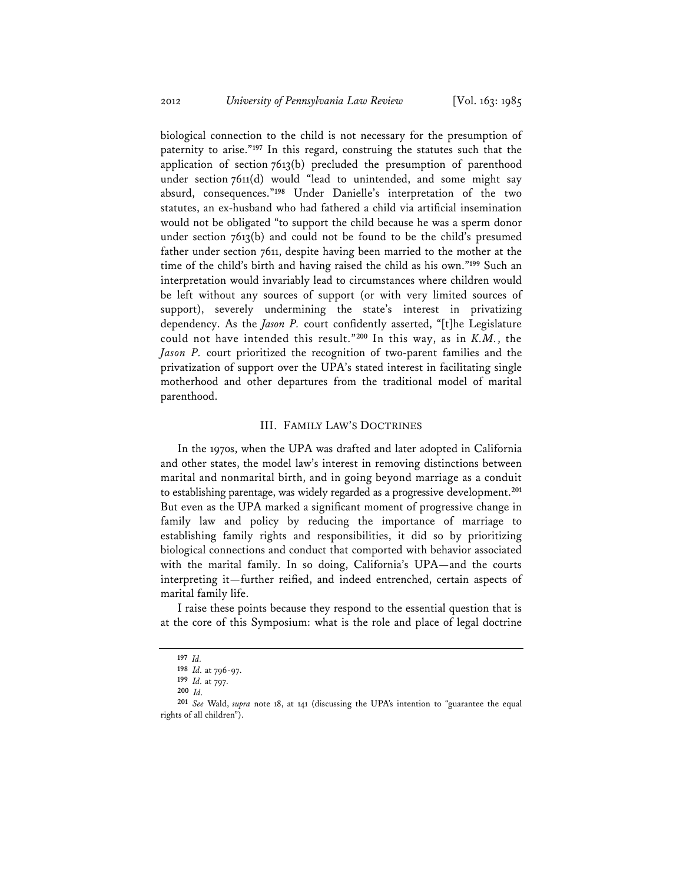biological connection to the child is not necessary for the presumption of paternity to arise."**<sup>197</sup>** In this regard, construing the statutes such that the application of section 7613(b) precluded the presumption of parenthood under section 7611(d) would "lead to unintended, and some might say absurd, consequences."**<sup>198</sup>** Under Danielle's interpretation of the two statutes, an ex-husband who had fathered a child via artificial insemination would not be obligated "to support the child because he was a sperm donor under section 7613(b) and could not be found to be the child's presumed father under section 7611, despite having been married to the mother at the time of the child's birth and having raised the child as his own."**<sup>199</sup>** Such an interpretation would invariably lead to circumstances where children would be left without any sources of support (or with very limited sources of support), severely undermining the state's interest in privatizing dependency. As the *Jason P.* court confidently asserted, "[t]he Legislature could not have intended this result."**<sup>200</sup>** In this way, as in *K.M.*, the *Jason P.* court prioritized the recognition of two-parent families and the privatization of support over the UPA's stated interest in facilitating single motherhood and other departures from the traditional model of marital parenthood.

#### III. FAMILY LAW'S DOCTRINES

In the 1970s, when the UPA was drafted and later adopted in California and other states, the model law's interest in removing distinctions between marital and nonmarital birth, and in going beyond marriage as a conduit to establishing parentage, was widely regarded as a progressive development.**<sup>201</sup>** But even as the UPA marked a significant moment of progressive change in family law and policy by reducing the importance of marriage to establishing family rights and responsibilities, it did so by prioritizing biological connections and conduct that comported with behavior associated with the marital family. In so doing, California's UPA—and the courts interpreting it—further reified, and indeed entrenched, certain aspects of marital family life.

I raise these points because they respond to the essential question that is at the core of this Symposium: what is the role and place of legal doctrine

**<sup>197</sup>** *Id.* **<sup>198</sup>** *Id.* at 796-97.

**<sup>199</sup>** *Id.* at 797.

**<sup>200</sup>** *Id.* **<sup>201</sup>** *See* Wald, *supra* note 18, at 141 (discussing the UPA's intention to "guarantee the equal rights of all children").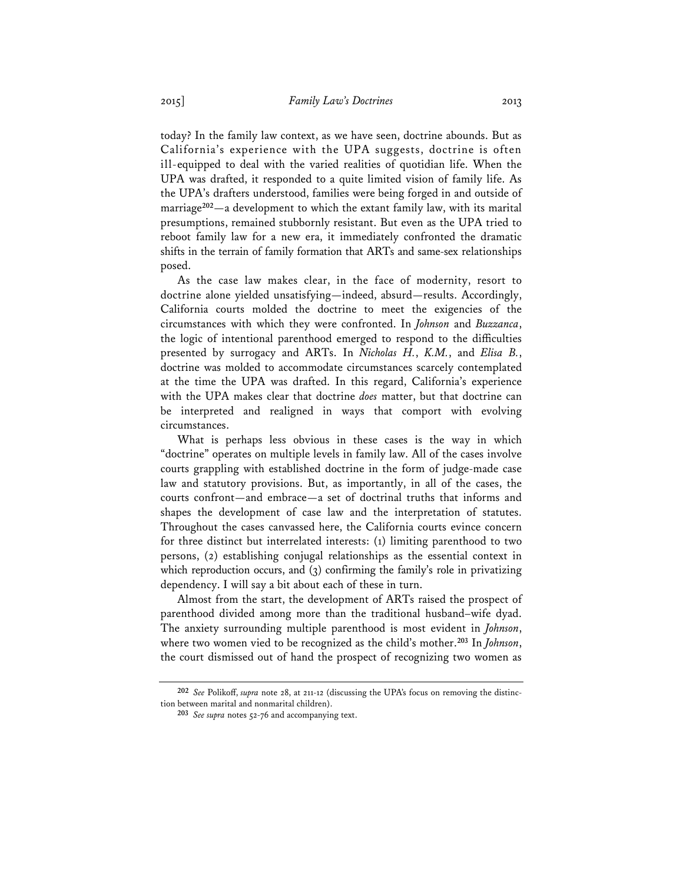today? In the family law context, as we have seen, doctrine abounds. But as California's experience with the UPA suggests, doctrine is often ill-equipped to deal with the varied realities of quotidian life. When the UPA was drafted, it responded to a quite limited vision of family life. As the UPA's drafters understood, families were being forged in and outside of marriage**<sup>202</sup>**—a development to which the extant family law, with its marital presumptions, remained stubbornly resistant. But even as the UPA tried to reboot family law for a new era, it immediately confronted the dramatic shifts in the terrain of family formation that ARTs and same-sex relationships posed.

As the case law makes clear, in the face of modernity, resort to doctrine alone yielded unsatisfying—indeed, absurd—results. Accordingly, California courts molded the doctrine to meet the exigencies of the circumstances with which they were confronted. In *Johnson* and *Buzzanca*, the logic of intentional parenthood emerged to respond to the difficulties presented by surrogacy and ARTs. In *Nicholas H.*, *K.M.*, and *Elisa B.*, doctrine was molded to accommodate circumstances scarcely contemplated at the time the UPA was drafted. In this regard, California's experience with the UPA makes clear that doctrine *does* matter, but that doctrine can be interpreted and realigned in ways that comport with evolving circumstances.

What is perhaps less obvious in these cases is the way in which "doctrine" operates on multiple levels in family law. All of the cases involve courts grappling with established doctrine in the form of judge-made case law and statutory provisions. But, as importantly, in all of the cases, the courts confront—and embrace—a set of doctrinal truths that informs and shapes the development of case law and the interpretation of statutes. Throughout the cases canvassed here, the California courts evince concern for three distinct but interrelated interests: (1) limiting parenthood to two persons, (2) establishing conjugal relationships as the essential context in which reproduction occurs, and (3) confirming the family's role in privatizing dependency. I will say a bit about each of these in turn.

Almost from the start, the development of ARTs raised the prospect of parenthood divided among more than the traditional husband–wife dyad. The anxiety surrounding multiple parenthood is most evident in *Johnson*, where two women vied to be recognized as the child's mother.**<sup>203</sup>** In *Johnson*, the court dismissed out of hand the prospect of recognizing two women as

**<sup>202</sup>** *See* Polikoff, *supra* note 28, at 211-12 (discussing the UPA's focus on removing the distinction between marital and nonmarital children).

**<sup>203</sup>** *See supra* notes 52-76 and accompanying text.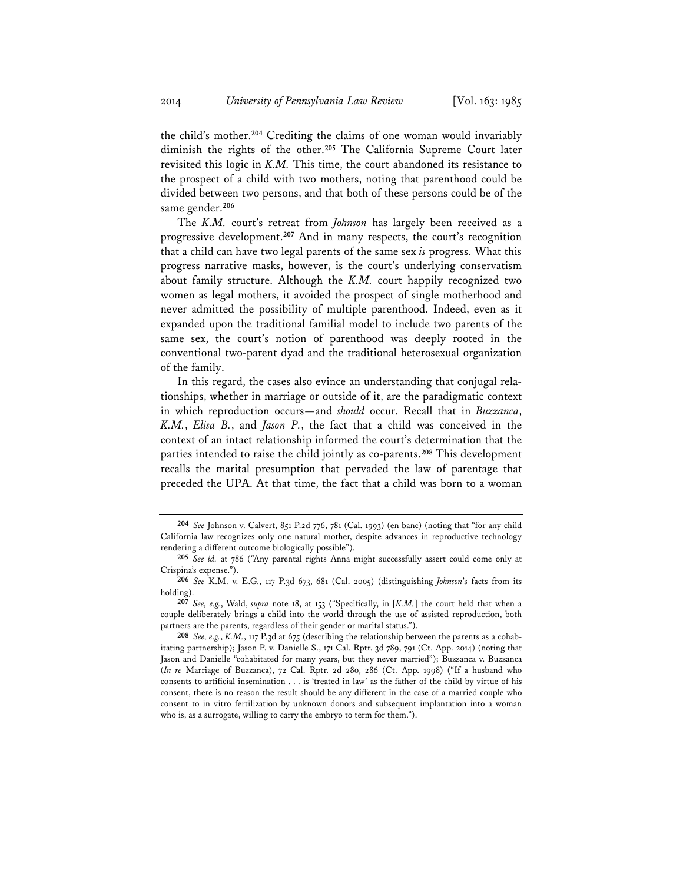the child's mother.**<sup>204</sup>** Crediting the claims of one woman would invariably diminish the rights of the other.**<sup>205</sup>** The California Supreme Court later revisited this logic in *K.M.* This time, the court abandoned its resistance to the prospect of a child with two mothers, noting that parenthood could be divided between two persons, and that both of these persons could be of the same gender.**<sup>206</sup>**

The *K.M.* court's retreat from *Johnson* has largely been received as a progressive development.**<sup>207</sup>** And in many respects, the court's recognition that a child can have two legal parents of the same sex *is* progress. What this progress narrative masks, however, is the court's underlying conservatism about family structure. Although the *K.M.* court happily recognized two women as legal mothers, it avoided the prospect of single motherhood and never admitted the possibility of multiple parenthood. Indeed, even as it expanded upon the traditional familial model to include two parents of the same sex, the court's notion of parenthood was deeply rooted in the conventional two-parent dyad and the traditional heterosexual organization of the family.

In this regard, the cases also evince an understanding that conjugal relationships, whether in marriage or outside of it, are the paradigmatic context in which reproduction occurs—and *should* occur. Recall that in *Buzzanca*, *K.M.*, *Elisa B.*, and *Jason P.*, the fact that a child was conceived in the context of an intact relationship informed the court's determination that the parties intended to raise the child jointly as co-parents.**<sup>208</sup>** This development recalls the marital presumption that pervaded the law of parentage that preceded the UPA. At that time, the fact that a child was born to a woman

**<sup>204</sup>** *See* Johnson v. Calvert, 851 P.2d 776, 781 (Cal. 1993) (en banc) (noting that "for any child California law recognizes only one natural mother, despite advances in reproductive technology rendering a different outcome biologically possible").

**<sup>205</sup>** *See id.* at 786 ("Any parental rights Anna might successfully assert could come only at Crispina's expense.").

**<sup>206</sup>** *See* K.M. v. E.G., 117 P.3d 673, 681 (Cal. 2005) (distinguishing *Johnson*'s facts from its holding).

**<sup>207</sup>** *See, e.g.*, Wald, *supra* note 18, at 153 ("Specifically, in [*K.M.*] the court held that when a couple deliberately brings a child into the world through the use of assisted reproduction, both partners are the parents, regardless of their gender or marital status.").

**<sup>208</sup>** *See, e.g.*, *K.M.*, 117 P.3d at 675 (describing the relationship between the parents as a cohabitating partnership); Jason P. v. Danielle S., 171 Cal. Rptr. 3d 789, 791 (Ct. App. 2014) (noting that Jason and Danielle "cohabitated for many years, but they never married"); Buzzanca v. Buzzanca (*In re* Marriage of Buzzanca), 72 Cal. Rptr. 2d 280, 286 (Ct. App. 1998) ("If a husband who consents to artificial insemination . . . is 'treated in law' as the father of the child by virtue of his consent, there is no reason the result should be any different in the case of a married couple who consent to in vitro fertilization by unknown donors and subsequent implantation into a woman who is, as a surrogate, willing to carry the embryo to term for them.").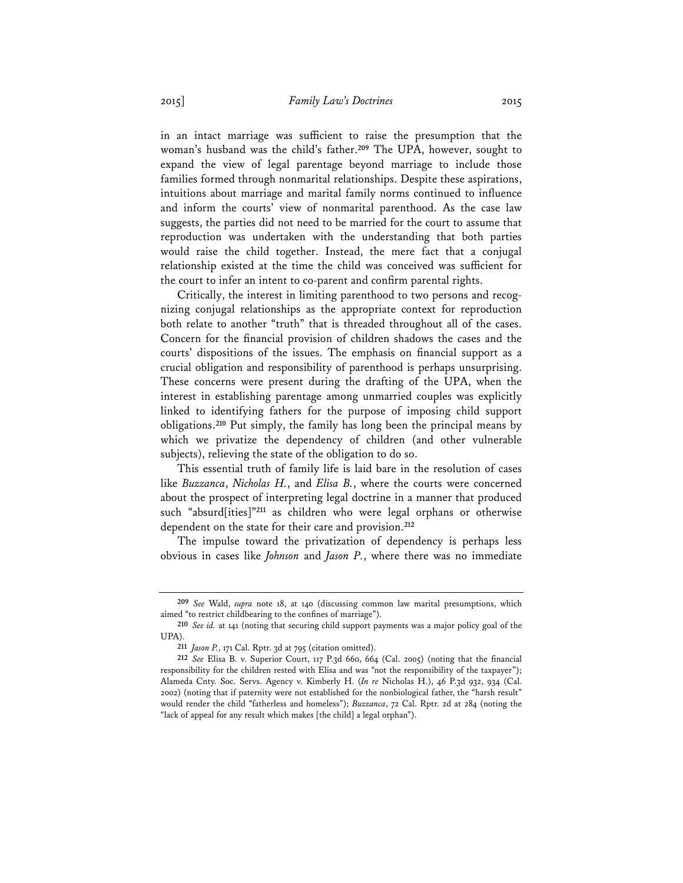in an intact marriage was sufficient to raise the presumption that the woman's husband was the child's father.**<sup>209</sup>** The UPA, however, sought to expand the view of legal parentage beyond marriage to include those families formed through nonmarital relationships. Despite these aspirations, intuitions about marriage and marital family norms continued to influence and inform the courts' view of nonmarital parenthood. As the case law suggests, the parties did not need to be married for the court to assume that reproduction was undertaken with the understanding that both parties would raise the child together. Instead, the mere fact that a conjugal relationship existed at the time the child was conceived was sufficient for the court to infer an intent to co-parent and confirm parental rights.

Critically, the interest in limiting parenthood to two persons and recognizing conjugal relationships as the appropriate context for reproduction both relate to another "truth" that is threaded throughout all of the cases. Concern for the financial provision of children shadows the cases and the courts' dispositions of the issues. The emphasis on financial support as a crucial obligation and responsibility of parenthood is perhaps unsurprising. These concerns were present during the drafting of the UPA, when the interest in establishing parentage among unmarried couples was explicitly linked to identifying fathers for the purpose of imposing child support obligations.**<sup>210</sup>** Put simply, the family has long been the principal means by which we privatize the dependency of children (and other vulnerable subjects), relieving the state of the obligation to do so.

This essential truth of family life is laid bare in the resolution of cases like *Buzzanca*, *Nicholas H.*, and *Elisa B.*, where the courts were concerned about the prospect of interpreting legal doctrine in a manner that produced such "absurd[ities]"**<sup>211</sup>** as children who were legal orphans or otherwise dependent on the state for their care and provision.**<sup>212</sup>**

The impulse toward the privatization of dependency is perhaps less obvious in cases like *Johnson* and *Jason P.*, where there was no immediate

**<sup>209</sup>** *See* Wald, *supra* note 18, at 140 (discussing common law marital presumptions, which aimed "to restrict childbearing to the confines of marriage").

**<sup>210</sup>** *See id.* at 141 (noting that securing child support payments was a major policy goal of the UPA).

**<sup>211</sup>** *Jason P.*, 171 Cal. Rptr. 3d at 795 (citation omitted).

**<sup>212</sup>** *See* Elisa B. v. Superior Court, 117 P.3d 660, 664 (Cal. 2005) (noting that the financial responsibility for the children rested with Elisa and was "not the responsibility of the taxpayer"); Alameda Cnty. Soc. Servs. Agency v. Kimberly H. (*In re* Nicholas H.), 46 P.3d 932, 934 (Cal. 2002) (noting that if paternity were not established for the nonbiological father, the "harsh result" would render the child "fatherless and homeless"); *Buzzanca*, 72 Cal. Rptr. 2d at 284 (noting the "lack of appeal for any result which makes [the child] a legal orphan").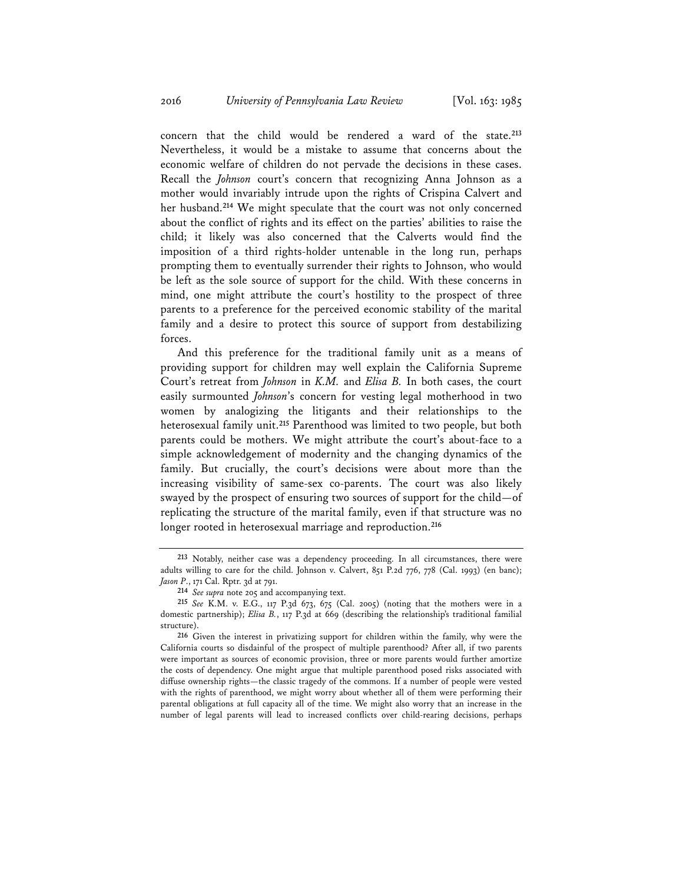concern that the child would be rendered a ward of the state.**<sup>213</sup>** Nevertheless, it would be a mistake to assume that concerns about the economic welfare of children do not pervade the decisions in these cases. Recall the *Johnson* court's concern that recognizing Anna Johnson as a mother would invariably intrude upon the rights of Crispina Calvert and her husband.**<sup>214</sup>** We might speculate that the court was not only concerned about the conflict of rights and its effect on the parties' abilities to raise the child; it likely was also concerned that the Calverts would find the imposition of a third rights-holder untenable in the long run, perhaps prompting them to eventually surrender their rights to Johnson, who would be left as the sole source of support for the child. With these concerns in mind, one might attribute the court's hostility to the prospect of three parents to a preference for the perceived economic stability of the marital family and a desire to protect this source of support from destabilizing forces.

And this preference for the traditional family unit as a means of providing support for children may well explain the California Supreme Court's retreat from *Johnson* in *K.M.* and *Elisa B.* In both cases, the court easily surmounted *Johnson*'s concern for vesting legal motherhood in two women by analogizing the litigants and their relationships to the heterosexual family unit.**<sup>215</sup>** Parenthood was limited to two people, but both parents could be mothers. We might attribute the court's about-face to a simple acknowledgement of modernity and the changing dynamics of the family. But crucially, the court's decisions were about more than the increasing visibility of same-sex co-parents. The court was also likely swayed by the prospect of ensuring two sources of support for the child—of replicating the structure of the marital family, even if that structure was no longer rooted in heterosexual marriage and reproduction.**<sup>216</sup>**

**<sup>213</sup>** Notably, neither case was a dependency proceeding. In all circumstances, there were adults willing to care for the child. Johnson v. Calvert, 851 P.2d 776, 778 (Cal. 1993) (en banc); *Jason P*., 171 Cal. Rptr. 3d at 791.

**<sup>214</sup>** *See supra* note 205 and accompanying text.

**<sup>215</sup>** *See* K.M. v. E.G., 117 P.3d 673, 675 (Cal. 2005) (noting that the mothers were in a domestic partnership); *Elisa B.*, 117 P.3d at 669 (describing the relationship's traditional familial structure).

**<sup>216</sup>** Given the interest in privatizing support for children within the family, why were the California courts so disdainful of the prospect of multiple parenthood? After all, if two parents were important as sources of economic provision, three or more parents would further amortize the costs of dependency. One might argue that multiple parenthood posed risks associated with diffuse ownership rights—the classic tragedy of the commons. If a number of people were vested with the rights of parenthood, we might worry about whether all of them were performing their parental obligations at full capacity all of the time. We might also worry that an increase in the number of legal parents will lead to increased conflicts over child-rearing decisions, perhaps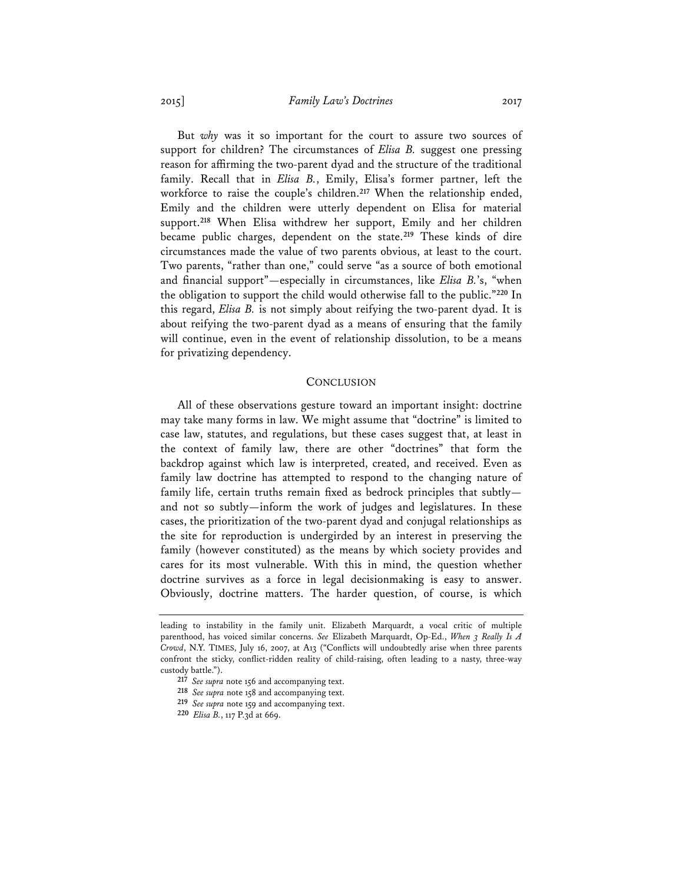But *why* was it so important for the court to assure two sources of support for children? The circumstances of *Elisa B.* suggest one pressing reason for affirming the two-parent dyad and the structure of the traditional family. Recall that in *Elisa B.*, Emily, Elisa's former partner, left the workforce to raise the couple's children.**<sup>217</sup>** When the relationship ended, Emily and the children were utterly dependent on Elisa for material support.**<sup>218</sup>** When Elisa withdrew her support, Emily and her children became public charges, dependent on the state.**<sup>219</sup>** These kinds of dire circumstances made the value of two parents obvious, at least to the court. Two parents, "rather than one," could serve "as a source of both emotional and financial support"—especially in circumstances, like *Elisa B.*'s, "when the obligation to support the child would otherwise fall to the public."**<sup>220</sup>** In this regard, *Elisa B.* is not simply about reifying the two-parent dyad. It is about reifying the two-parent dyad as a means of ensuring that the family will continue, even in the event of relationship dissolution, to be a means for privatizing dependency.

#### **CONCLUSION**

All of these observations gesture toward an important insight: doctrine may take many forms in law. We might assume that "doctrine" is limited to case law, statutes, and regulations, but these cases suggest that, at least in the context of family law, there are other "doctrines" that form the backdrop against which law is interpreted, created, and received. Even as family law doctrine has attempted to respond to the changing nature of family life, certain truths remain fixed as bedrock principles that subtly and not so subtly—inform the work of judges and legislatures. In these cases, the prioritization of the two-parent dyad and conjugal relationships as the site for reproduction is undergirded by an interest in preserving the family (however constituted) as the means by which society provides and cares for its most vulnerable. With this in mind, the question whether doctrine survives as a force in legal decisionmaking is easy to answer. Obviously, doctrine matters. The harder question, of course, is which

leading to instability in the family unit. Elizabeth Marquardt, a vocal critic of multiple parenthood, has voiced similar concerns. *See* Elizabeth Marquardt, Op-Ed., *When 3 Really Is A Crowd*, N.Y. TIMES, July 16, 2007, at A13 ("Conflicts will undoubtedly arise when three parents confront the sticky, conflict-ridden reality of child-raising, often leading to a nasty, three-way custody battle.").

**<sup>217</sup>** *See supra* note 156 and accompanying text.

**<sup>218</sup>** *See supra* note 158 and accompanying text.

**<sup>219</sup>** *See supra* note 159 and accompanying text.

**<sup>220</sup>** *Elisa B.*, 117 P.3d at 669.